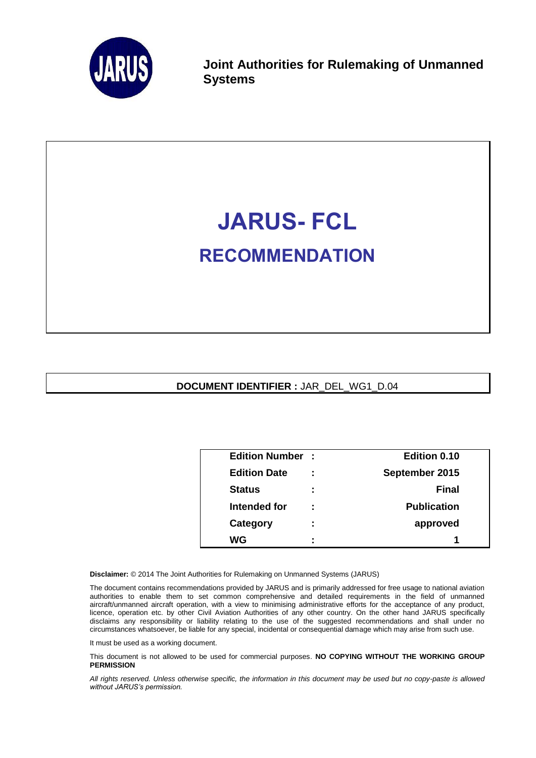

**Joint Authorities for Rulemaking of Unmanned Systems**

# <span id="page-0-1"></span><span id="page-0-0"></span>**JARUS- FCL RECOMMENDATION**

#### **DOCUMENT IDENTIFIER :** JAR\_DEL\_WG1\_D.04

| <b>Edition Number:</b> |   | <b>Edition 0.10</b> |
|------------------------|---|---------------------|
| <b>Edition Date</b>    | ÷ | September 2015      |
| <b>Status</b>          | ÷ | <b>Final</b>        |
| Intended for           | ÷ | <b>Publication</b>  |
| Category               | ÷ | approved            |
| WG                     | ÷ |                     |

**Disclaimer:** © 2014 The Joint Authorities for Rulemaking on Unmanned Systems (JARUS)

The document contains recommendations provided by JARUS and is primarily addressed for free usage to national aviation authorities to enable them to set common comprehensive and detailed requirements in the field of unmanned aircraft/unmanned aircraft operation, with a view to minimising administrative efforts for the acceptance of any product, licence, operation etc. by other Civil Aviation Authorities of any other country. On the other hand JARUS specifically disclaims any responsibility or liability relating to the use of the suggested recommendations and shall under no circumstances whatsoever, be liable for any special, incidental or consequential damage which may arise from such use.

It must be used as a working document.

This document is not allowed to be used for commercial purposes. **NO COPYING WITHOUT THE WORKING GROUP PERMISSION**

*All rights reserved. Unless otherwise specific, the information in this document may be used but no copy-paste is allowed without JARUS's permission.*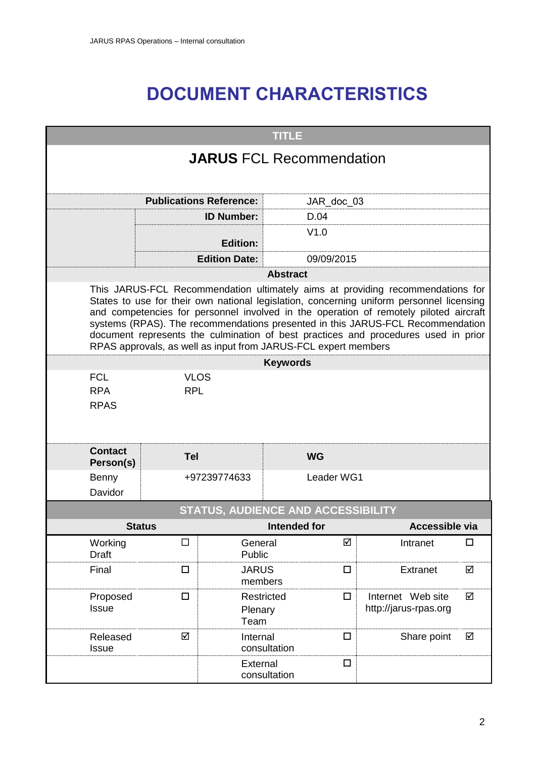### **DOCUMENT CHARACTERISTICS**

<span id="page-1-0"></span>

|                                         |                                                                                                                                                                                                                                                                                                                                                                                                                                                                                                               |                                | <b>TITLE</b>    |        |                                            |          |
|-----------------------------------------|---------------------------------------------------------------------------------------------------------------------------------------------------------------------------------------------------------------------------------------------------------------------------------------------------------------------------------------------------------------------------------------------------------------------------------------------------------------------------------------------------------------|--------------------------------|-----------------|--------|--------------------------------------------|----------|
| <b>JARUS</b> FCL Recommendation         |                                                                                                                                                                                                                                                                                                                                                                                                                                                                                                               |                                |                 |        |                                            |          |
|                                         |                                                                                                                                                                                                                                                                                                                                                                                                                                                                                                               | <b>Publications Reference:</b> | JAR_doc_03      |        |                                            |          |
|                                         |                                                                                                                                                                                                                                                                                                                                                                                                                                                                                                               | <b>ID Number:</b>              | D.04            |        |                                            |          |
|                                         |                                                                                                                                                                                                                                                                                                                                                                                                                                                                                                               | <b>Edition:</b>                | V1.0            |        |                                            |          |
|                                         |                                                                                                                                                                                                                                                                                                                                                                                                                                                                                                               | <b>Edition Date:</b>           | 09/09/2015      |        |                                            |          |
|                                         |                                                                                                                                                                                                                                                                                                                                                                                                                                                                                                               |                                | <b>Abstract</b> |        |                                            |          |
|                                         | This JARUS-FCL Recommendation ultimately aims at providing recommendations for<br>States to use for their own national legislation, concerning uniform personnel licensing<br>and competencies for personnel involved in the operation of remotely piloted aircraft<br>systems (RPAS). The recommendations presented in this JARUS-FCL Recommendation<br>document represents the culmination of best practices and procedures used in prior<br>RPAS approvals, as well as input from JARUS-FCL expert members |                                |                 |        |                                            |          |
|                                         |                                                                                                                                                                                                                                                                                                                                                                                                                                                                                                               |                                | <b>Keywords</b> |        |                                            |          |
| <b>FCL</b><br><b>RPA</b><br><b>RPAS</b> | <b>RPL</b>                                                                                                                                                                                                                                                                                                                                                                                                                                                                                                    | <b>VLOS</b>                    |                 |        |                                            |          |
| <b>Contact</b><br>Person(s)             | <b>Tel</b>                                                                                                                                                                                                                                                                                                                                                                                                                                                                                                    |                                | <b>WG</b>       |        |                                            |          |
| Benny<br>Davidor                        |                                                                                                                                                                                                                                                                                                                                                                                                                                                                                                               | +97239774633                   | Leader WG1      |        |                                            |          |
|                                         | STATUS, AUDIENCE AND ACCESSIBILITY                                                                                                                                                                                                                                                                                                                                                                                                                                                                            |                                |                 |        |                                            |          |
|                                         | <b>Status</b>                                                                                                                                                                                                                                                                                                                                                                                                                                                                                                 |                                | Intended for    |        | Accessible via                             |          |
| Working<br><b>Draft</b>                 | $\Box$                                                                                                                                                                                                                                                                                                                                                                                                                                                                                                        | General<br>Public              |                 | ☑      | Intranet                                   | $\Box$   |
| Final                                   | $\Box$                                                                                                                                                                                                                                                                                                                                                                                                                                                                                                        | <b>JARUS</b><br>members        |                 | $\Box$ | <b>Extranet</b>                            | $\Delta$ |
| Proposed<br><b>Issue</b>                | $\Box$                                                                                                                                                                                                                                                                                                                                                                                                                                                                                                        | Restricted<br>Plenary<br>Team  |                 | $\Box$ | Internet Web site<br>http://jarus-rpas.org | ☑        |
| Released<br><b>Issue</b>                | ☑                                                                                                                                                                                                                                                                                                                                                                                                                                                                                                             | Internal                       | consultation    | $\Box$ | Share point                                | ☑        |
|                                         |                                                                                                                                                                                                                                                                                                                                                                                                                                                                                                               | External                       | consultation    | $\Box$ |                                            |          |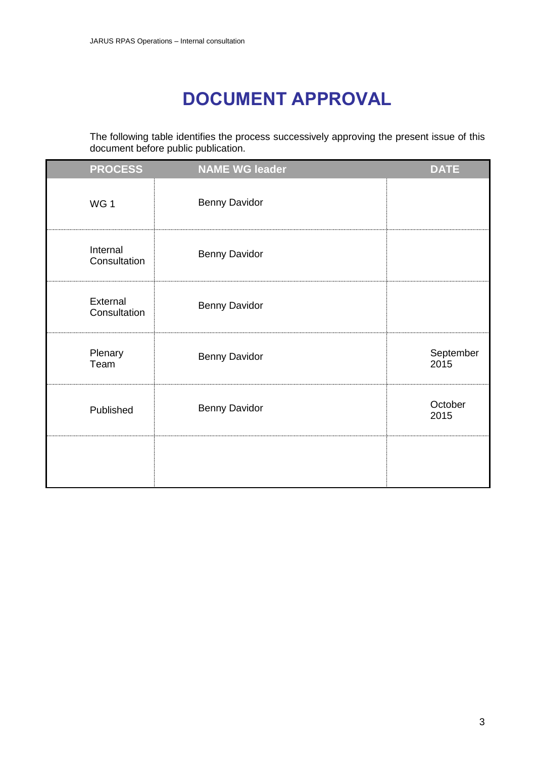## **DOCUMENT APPROVAL**

<span id="page-2-0"></span>The following table identifies the process successively approving the present issue of this document before public publication.

| <b>PROCESS</b>           | <b>NAME WG leader</b> | <b>DATE</b>       |
|--------------------------|-----------------------|-------------------|
| WG1                      | <b>Benny Davidor</b>  |                   |
| Internal<br>Consultation | <b>Benny Davidor</b>  |                   |
| External<br>Consultation | <b>Benny Davidor</b>  |                   |
| Plenary<br>Team          | <b>Benny Davidor</b>  | September<br>2015 |
| Published                | <b>Benny Davidor</b>  | October<br>2015   |
|                          |                       |                   |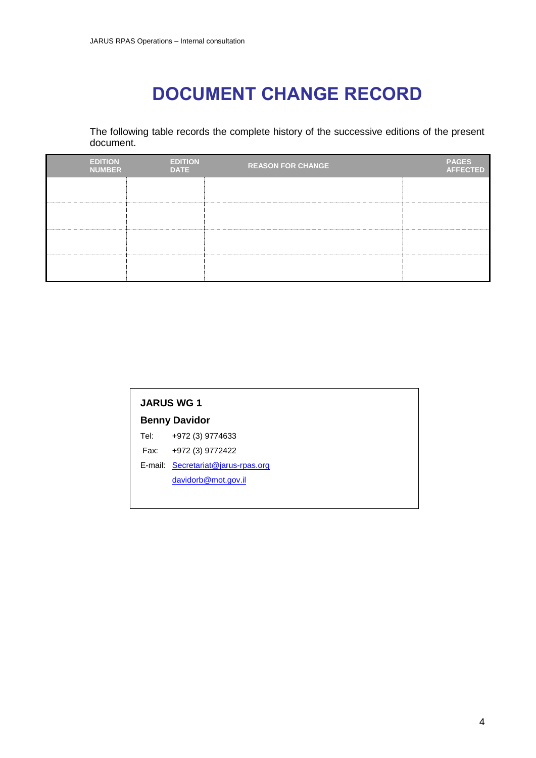### **DOCUMENT CHANGE RECORD**

<span id="page-3-0"></span>The following table records the complete history of the successive editions of the present document.

| <b>EDITION</b><br><b>NUMBER</b> | <b>EDITION</b><br><b>DATE</b> | <b>REASON FOR CHANGE</b> | <b>PAGES</b><br><b>AFFECTED</b> |
|---------------------------------|-------------------------------|--------------------------|---------------------------------|
|                                 |                               |                          |                                 |
|                                 |                               |                          |                                 |
|                                 |                               |                          |                                 |
|                                 |                               |                          |                                 |

|          | <b>JARUS WG 1</b>                  |  |
|----------|------------------------------------|--|
|          | <b>Benny Davidor</b>               |  |
| Tel: Tel | +972 (3) 9774633                   |  |
| Fax:     | +972 (3) 9772422                   |  |
|          | E-mail: Secretariat@jarus-rpas.org |  |
|          | davidorb@mot.gov.il                |  |
|          |                                    |  |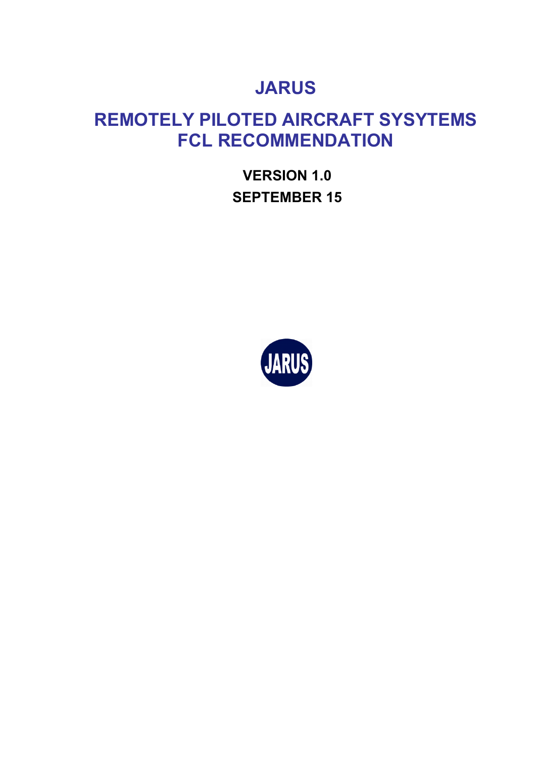### **JARUS**

### <span id="page-4-1"></span><span id="page-4-0"></span>**REMOTELY PILOTED AIRCRAFT SYSYTEMS FCL RECOMMENDATION**

**VERSION 1.0 SEPTEMBER 15**

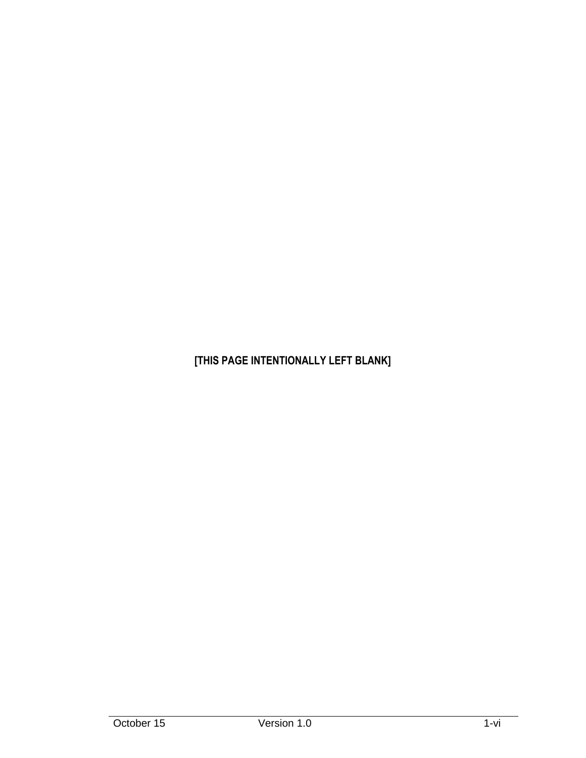**[THIS PAGE INTENTIONALLY LEFT BLANK]**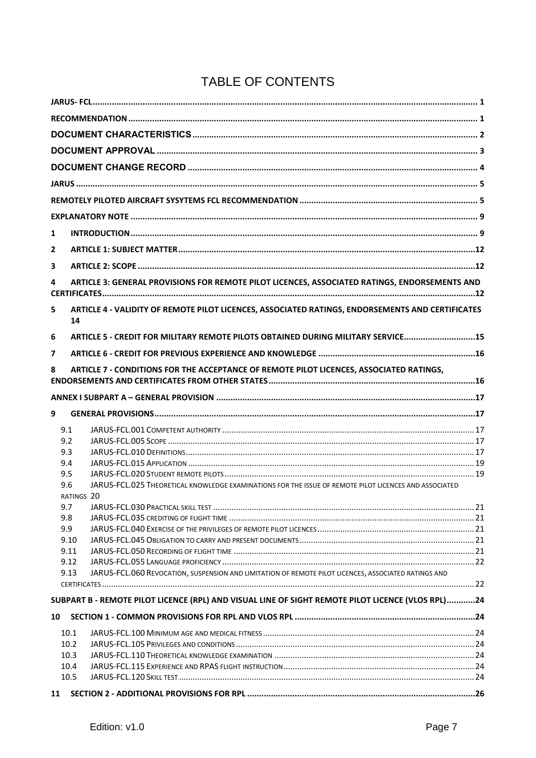### TABLE OF CONTENTS

| 1              |            |                                                                                                        |  |
|----------------|------------|--------------------------------------------------------------------------------------------------------|--|
| $\overline{2}$ |            |                                                                                                        |  |
| 3              |            |                                                                                                        |  |
| 4              |            | ARTICLE 3: GENERAL PROVISIONS FOR REMOTE PILOT LICENCES, ASSOCIATED RATINGS, ENDORSEMENTS AND          |  |
|                |            |                                                                                                        |  |
| 5              | 14         | ARTICLE 4 - VALIDITY OF REMOTE PILOT LICENCES, ASSOCIATED RATINGS, ENDORSEMENTS AND CERTIFICATES       |  |
| 6              |            | ARTICLE 5 - CREDIT FOR MILITARY REMOTE PILOTS OBTAINED DURING MILITARY SERVICE15                       |  |
| $\overline{ }$ |            |                                                                                                        |  |
| 8              |            | ARTICLE 7 - CONDITIONS FOR THE ACCEPTANCE OF REMOTE PILOT LICENCES, ASSOCIATED RATINGS,                |  |
|                |            |                                                                                                        |  |
| 9              |            |                                                                                                        |  |
|                | 9.1        |                                                                                                        |  |
|                | 9.2        |                                                                                                        |  |
|                | 9.3        |                                                                                                        |  |
|                | 9.4        |                                                                                                        |  |
|                | 9.5        |                                                                                                        |  |
|                | 9.6        | JARUS-FCL.025 THEORETICAL KNOWLEDGE EXAMINATIONS FOR THE ISSUE OF REMOTE PILOT LICENCES AND ASSOCIATED |  |
|                | RATINGS 20 |                                                                                                        |  |
|                | 9.7        |                                                                                                        |  |
|                | 9.8        |                                                                                                        |  |
|                | 9.9        |                                                                                                        |  |
|                | 9.10       |                                                                                                        |  |
|                | 9.11       |                                                                                                        |  |
|                | 9.12       |                                                                                                        |  |
|                | 9.13       | JARUS-FCL.060 REVOCATION, SUSPENSION AND LIMITATION OF REMOTE PILOT LICENCES, ASSOCIATED RATINGS AND   |  |
|                |            |                                                                                                        |  |
|                |            | SUBPART B - REMOTE PILOT LICENCE (RPL) AND VISUAL LINE OF SIGHT REMOTE PILOT LICENCE (VLOS RPL)24      |  |
| 10             |            |                                                                                                        |  |
|                | 10.1       |                                                                                                        |  |
|                | 10.2       |                                                                                                        |  |
|                | 10.3       |                                                                                                        |  |
|                | 10.4       |                                                                                                        |  |
|                | 10.5       |                                                                                                        |  |
| 11             |            |                                                                                                        |  |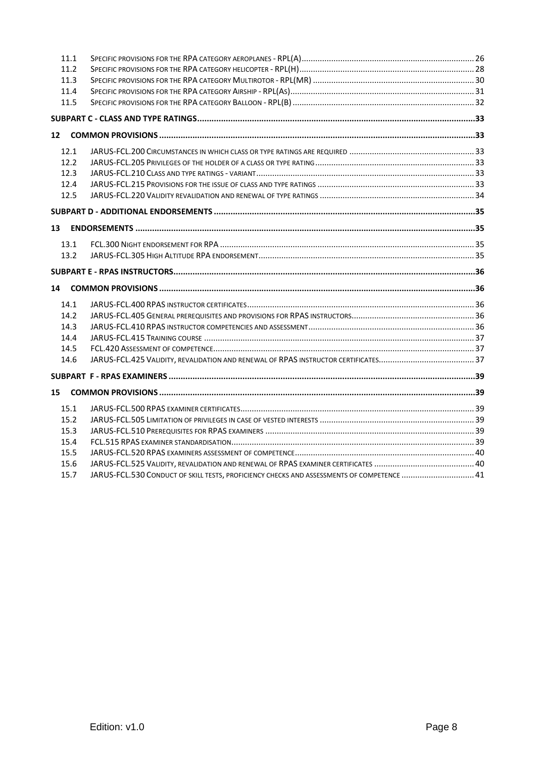| 11.1            |                                                                                            |  |
|-----------------|--------------------------------------------------------------------------------------------|--|
| 11.2            |                                                                                            |  |
| 11.3            |                                                                                            |  |
| 11.4            |                                                                                            |  |
| 11.5            |                                                                                            |  |
|                 |                                                                                            |  |
| 12 <sup>7</sup> |                                                                                            |  |
| 12.1            |                                                                                            |  |
| 12.2            |                                                                                            |  |
| 12.3            |                                                                                            |  |
| 12.4            |                                                                                            |  |
| 12.5            |                                                                                            |  |
|                 |                                                                                            |  |
| 13 <sup>7</sup> |                                                                                            |  |
| 13.1            |                                                                                            |  |
| 13.2            |                                                                                            |  |
|                 |                                                                                            |  |
| 14              |                                                                                            |  |
| 14.1            |                                                                                            |  |
| 14.2            |                                                                                            |  |
| 14.3            |                                                                                            |  |
| 14.4            |                                                                                            |  |
| 14.5            |                                                                                            |  |
| 14.6            |                                                                                            |  |
|                 |                                                                                            |  |
| 15              |                                                                                            |  |
| 15.1            |                                                                                            |  |
| 15.2            |                                                                                            |  |
| 15.3            |                                                                                            |  |
| 15.4            |                                                                                            |  |
| 15.5            |                                                                                            |  |
| 15.6            |                                                                                            |  |
| 15.7            | JARUS-FCL.530 CONDUCT OF SKILL TESTS, PROFICIENCY CHECKS AND ASSESSMENTS OF COMPETENCE  41 |  |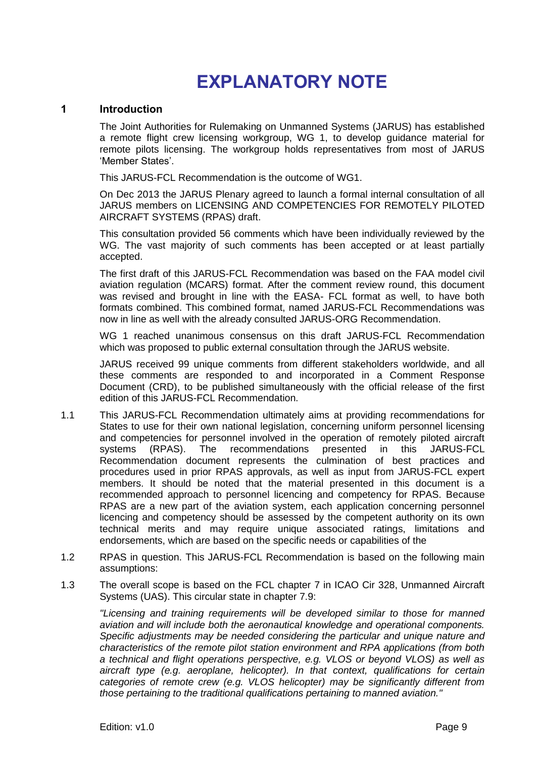### **EXPLANATORY NOTE**

#### <span id="page-8-1"></span><span id="page-8-0"></span>**1 Introduction**

The Joint Authorities for Rulemaking on Unmanned Systems (JARUS) has established a remote flight crew licensing workgroup, WG 1, to develop guidance material for remote pilots licensing. The workgroup holds representatives from most of JARUS 'Member States'.

This JARUS-FCL Recommendation is the outcome of WG1.

On Dec 2013 the JARUS Plenary agreed to launch a formal internal consultation of all JARUS members on LICENSING AND COMPETENCIES FOR REMOTELY PILOTED AIRCRAFT SYSTEMS (RPAS) draft.

This consultation provided 56 comments which have been individually reviewed by the WG. The vast majority of such comments has been accepted or at least partially accepted.

The first draft of this JARUS-FCL Recommendation was based on the FAA model civil aviation regulation (MCARS) format. After the comment review round, this document was revised and brought in line with the EASA- FCL format as well, to have both formats combined. This combined format, named JARUS-FCL Recommendations was now in line as well with the already consulted JARUS-ORG Recommendation.

WG 1 reached unanimous consensus on this draft JARUS-FCL Recommendation which was proposed to public external consultation through the JARUS website.

JARUS received 99 unique comments from different stakeholders worldwide, and all these comments are responded to and incorporated in a Comment Response Document (CRD), to be published simultaneously with the official release of the first edition of this JARUS-FCL Recommendation.

- 1.1 This JARUS-FCL Recommendation ultimately aims at providing recommendations for States to use for their own national legislation, concerning uniform personnel licensing and competencies for personnel involved in the operation of remotely piloted aircraft systems (RPAS). The recommendations presented in this JARUS-FCL Recommendation document represents the culmination of best practices and procedures used in prior RPAS approvals, as well as input from JARUS-FCL expert members. It should be noted that the material presented in this document is a recommended approach to personnel licencing and competency for RPAS. Because RPAS are a new part of the aviation system, each application concerning personnel licencing and competency should be assessed by the competent authority on its own technical merits and may require unique associated ratings, limitations and endorsements, which are based on the specific needs or capabilities of the
- 1.2 RPAS in question. This JARUS-FCL Recommendation is based on the following main assumptions:
- 1.3 The overall scope is based on the FCL chapter 7 in ICAO Cir 328, Unmanned Aircraft Systems (UAS). This circular state in chapter 7.9:

*"Licensing and training requirements will be developed similar to those for manned aviation and will include both the aeronautical knowledge and operational components. Specific adjustments may be needed considering the particular and unique nature and characteristics of the remote pilot station environment and RPA applications (from both a technical and flight operations perspective, e.g. VLOS or beyond VLOS) as well as aircraft type (e.g. aeroplane, helicopter). In that context, qualifications for certain categories of remote crew (e.g. VLOS helicopter) may be significantly different from those pertaining to the traditional qualifications pertaining to manned aviation."*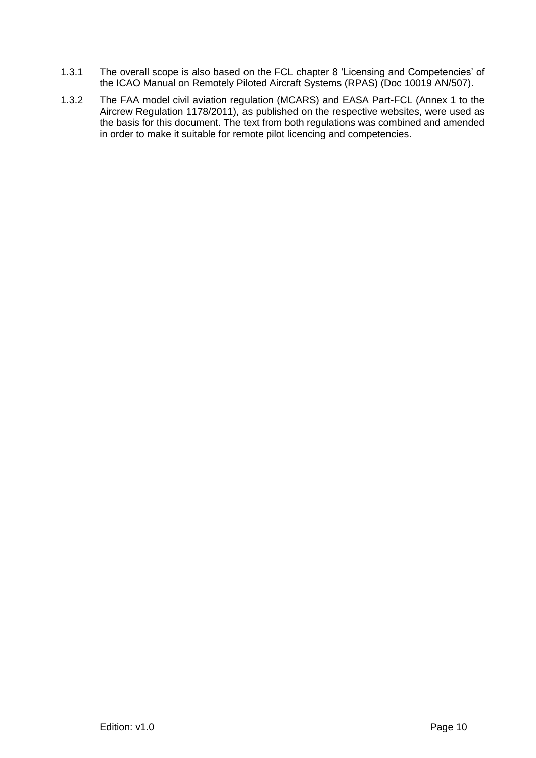- 1.3.1 The overall scope is also based on the FCL chapter 8 'Licensing and Competencies' of the ICAO Manual on Remotely Piloted Aircraft Systems (RPAS) (Doc 10019 AN/507).
- 1.3.2 The FAA model civil aviation regulation (MCARS) and EASA Part-FCL (Annex 1 to the Aircrew Regulation 1178/2011), as published on the respective websites, were used as the basis for this document. The text from both regulations was combined and amended in order to make it suitable for remote pilot licencing and competencies.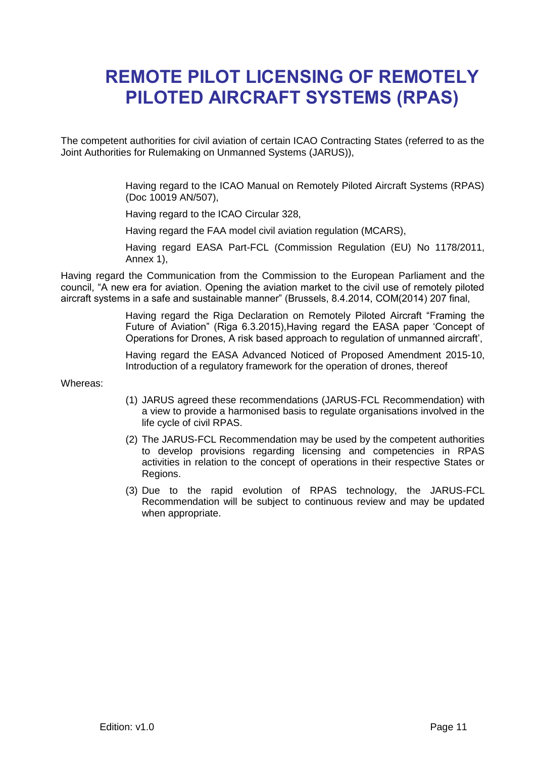### **REMOTE PILOT LICENSING OF REMOTELY PILOTED AIRCRAFT SYSTEMS (RPAS)**

The competent authorities for civil aviation of certain ICAO Contracting States (referred to as the Joint Authorities for Rulemaking on Unmanned Systems (JARUS)),

> Having regard to the ICAO Manual on Remotely Piloted Aircraft Systems (RPAS) (Doc 10019 AN/507),

Having regard to the ICAO Circular 328,

Having regard the FAA model civil aviation regulation (MCARS),

Having regard EASA Part-FCL (Commission Regulation (EU) No 1178/2011, Annex 1),

Having regard the Communication from the Commission to the European Parliament and the council, "A new era for aviation. Opening the aviation market to the civil use of remotely piloted aircraft systems in a safe and sustainable manner" (Brussels, 8.4.2014, COM(2014) 207 final,

> Having regard the Riga Declaration on Remotely Piloted Aircraft "Framing the Future of Aviation" (Riga 6.3.2015),Having regard the EASA paper 'Concept of Operations for Drones, A risk based approach to regulation of unmanned aircraft',

> Having regard the EASA Advanced Noticed of Proposed Amendment 2015-10, Introduction of a regulatory framework for the operation of drones, thereof

Whereas:

- (1) JARUS agreed these recommendations (JARUS-FCL Recommendation) with a view to provide a harmonised basis to regulate organisations involved in the life cycle of civil RPAS.
- (2) The JARUS-FCL Recommendation may be used by the competent authorities to develop provisions regarding licensing and competencies in RPAS activities in relation to the concept of operations in their respective States or Regions.
- (3) Due to the rapid evolution of RPAS technology, the JARUS-FCL Recommendation will be subject to continuous review and may be updated when appropriate.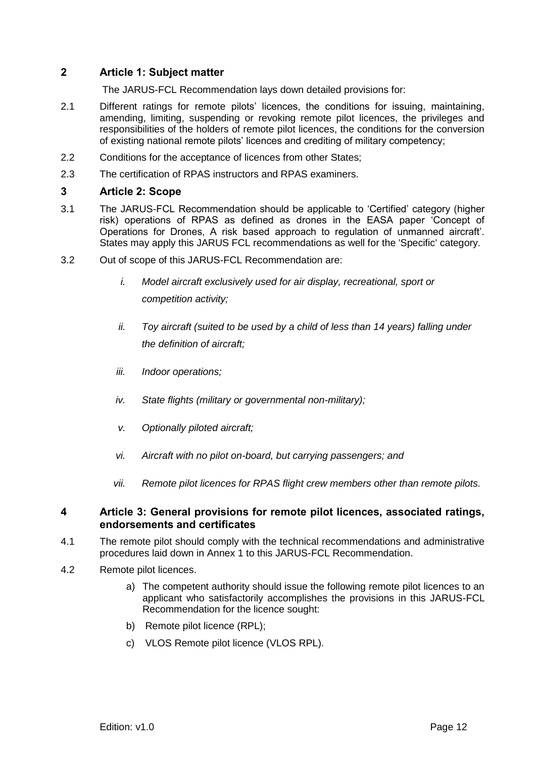#### <span id="page-11-0"></span>**2 Article 1: Subject matter**

The JARUS-FCL Recommendation lays down detailed provisions for:

- 2.1 Different ratings for remote pilots' licences, the conditions for issuing, maintaining, amending, limiting, suspending or revoking remote pilot licences, the privileges and responsibilities of the holders of remote pilot licences, the conditions for the conversion of existing national remote pilots' licences and crediting of military competency;
- 2.2 Conditions for the acceptance of licences from other States;
- 2.3 The certification of RPAS instructors and RPAS examiners.

#### <span id="page-11-1"></span>**3 Article 2: Scope**

- 3.1 The JARUS-FCL Recommendation should be applicable to 'Certified' category (higher risk) operations of RPAS as defined as drones in the EASA paper 'Concept of Operations for Drones, A risk based approach to regulation of unmanned aircraft'. States may apply this JARUS FCL recommendations as well for the 'Specific' category.
- 3.2 Out of scope of this JARUS-FCL Recommendation are:
	- *i. Model aircraft exclusively used for air display, recreational, sport or competition activity;*
	- *ii. Toy aircraft (suited to be used by a child of less than 14 years) falling under the definition of aircraft;*
	- *iii. Indoor operations;*
	- *iv. State flights (military or governmental non-military);*
	- *v. Optionally piloted aircraft;*
	- *vi. Aircraft with no pilot on-board, but carrying passengers; and*
	- *vii. Remote pilot licences for RPAS flight crew members other than remote pilots.*

#### <span id="page-11-2"></span>**4 Article 3: General provisions for remote pilot licences, associated ratings, endorsements and certificates**

- 4.1 The remote pilot should comply with the technical recommendations and administrative procedures laid down in Annex 1 to this JARUS-FCL Recommendation.
- 4.2 Remote pilot licences.
	- a) The competent authority should issue the following remote pilot licences to an applicant who satisfactorily accomplishes the provisions in this JARUS-FCL Recommendation for the licence sought:
	- b) Remote pilot licence (RPL);
	- c) VLOS Remote pilot licence (VLOS RPL).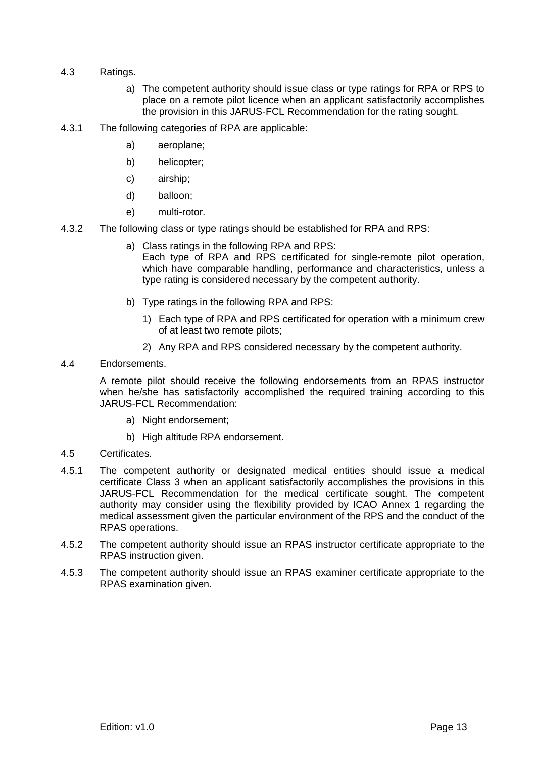- 4.3 Ratings.
	- a) The competent authority should issue class or type ratings for RPA or RPS to place on a remote pilot licence when an applicant satisfactorily accomplishes the provision in this JARUS-FCL Recommendation for the rating sought.
- 4.3.1 The following categories of RPA are applicable:
	- a) aeroplane;
	- b) helicopter;
	- c) airship;
	- d) balloon;
	- e) multi-rotor.
- 4.3.2 The following class or type ratings should be established for RPA and RPS:
	- a) Class ratings in the following RPA and RPS: Each type of RPA and RPS certificated for single-remote pilot operation, which have comparable handling, performance and characteristics, unless a type rating is considered necessary by the competent authority.
	- b) Type ratings in the following RPA and RPS:
		- 1) Each type of RPA and RPS certificated for operation with a minimum crew of at least two remote pilots;
		- 2) Any RPA and RPS considered necessary by the competent authority.
- 4.4 Endorsements.

A remote pilot should receive the following endorsements from an RPAS instructor when he/she has satisfactorily accomplished the required training according to this JARUS-FCL Recommendation:

- a) Night endorsement;
- b) High altitude RPA endorsement.
- 4.5 Certificates.
- 4.5.1 The competent authority or designated medical entities should issue a medical certificate Class 3 when an applicant satisfactorily accomplishes the provisions in this JARUS-FCL Recommendation for the medical certificate sought. The competent authority may consider using the flexibility provided by ICAO Annex 1 regarding the medical assessment given the particular environment of the RPS and the conduct of the RPAS operations.
- 4.5.2 The competent authority should issue an RPAS instructor certificate appropriate to the RPAS instruction given.
- 4.5.3 The competent authority should issue an RPAS examiner certificate appropriate to the RPAS examination given.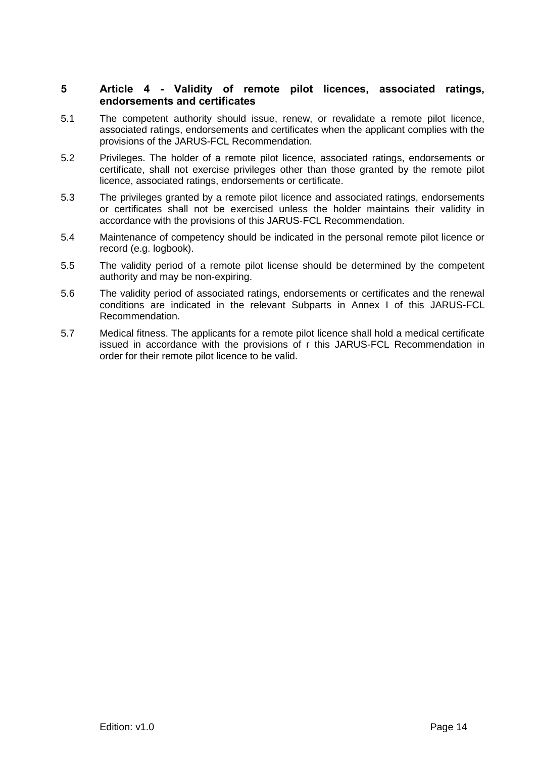#### <span id="page-13-0"></span>**5 Article 4 - Validity of remote pilot licences, associated ratings, endorsements and certificates**

- 5.1 The competent authority should issue, renew, or revalidate a remote pilot licence, associated ratings, endorsements and certificates when the applicant complies with the provisions of the JARUS-FCL Recommendation.
- 5.2 Privileges. The holder of a remote pilot licence, associated ratings, endorsements or certificate, shall not exercise privileges other than those granted by the remote pilot licence, associated ratings, endorsements or certificate.
- 5.3 The privileges granted by a remote pilot licence and associated ratings, endorsements or certificates shall not be exercised unless the holder maintains their validity in accordance with the provisions of this JARUS-FCL Recommendation.
- 5.4 Maintenance of competency should be indicated in the personal remote pilot licence or record (e.g. logbook).
- 5.5 The validity period of a remote pilot license should be determined by the competent authority and may be non-expiring.
- 5.6 The validity period of associated ratings, endorsements or certificates and the renewal conditions are indicated in the relevant Subparts in Annex I of this JARUS-FCL Recommendation.
- 5.7 Medical fitness. The applicants for a remote pilot licence shall hold a medical certificate issued in accordance with the provisions of r this JARUS-FCL Recommendation in order for their remote pilot licence to be valid.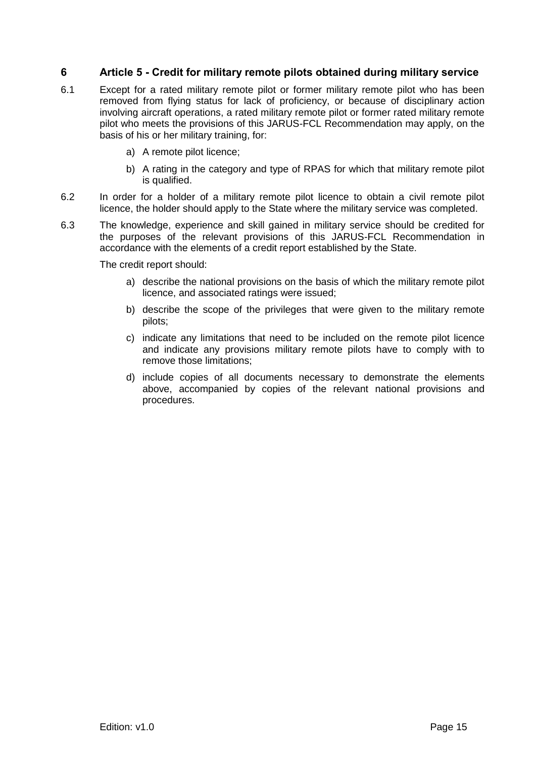#### <span id="page-14-0"></span>**6 Article 5 - Credit for military remote pilots obtained during military service**

- 6.1 Except for a rated military remote pilot or former military remote pilot who has been removed from flying status for lack of proficiency, or because of disciplinary action involving aircraft operations, a rated military remote pilot or former rated military remote pilot who meets the provisions of this JARUS-FCL Recommendation may apply, on the basis of his or her military training, for:
	- a) A remote pilot licence;
	- b) A rating in the category and type of RPAS for which that military remote pilot is qualified.
- 6.2 In order for a holder of a military remote pilot licence to obtain a civil remote pilot licence, the holder should apply to the State where the military service was completed.
- 6.3 The knowledge, experience and skill gained in military service should be credited for the purposes of the relevant provisions of this JARUS-FCL Recommendation in accordance with the elements of a credit report established by the State.

The credit report should:

- a) describe the national provisions on the basis of which the military remote pilot licence, and associated ratings were issued;
- b) describe the scope of the privileges that were given to the military remote pilots;
- c) indicate any limitations that need to be included on the remote pilot licence and indicate any provisions military remote pilots have to comply with to remove those limitations;
- d) include copies of all documents necessary to demonstrate the elements above, accompanied by copies of the relevant national provisions and procedures.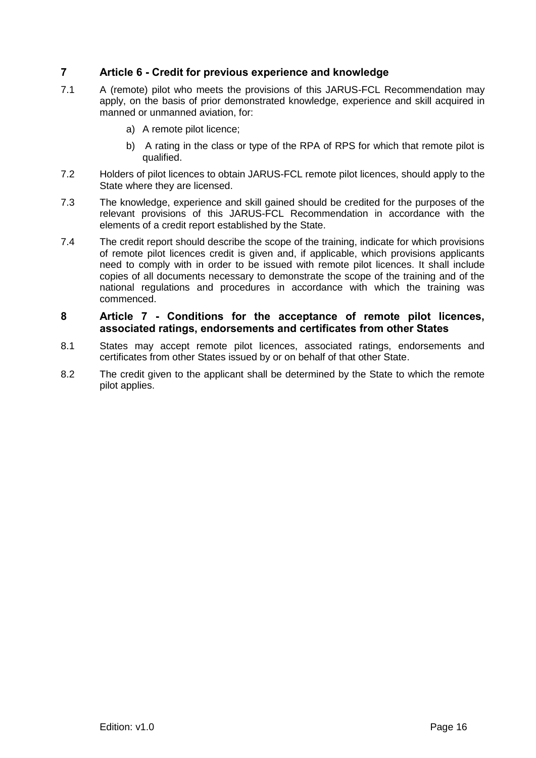#### <span id="page-15-0"></span>**7 Article 6 - Credit for previous experience and knowledge**

- 7.1 A (remote) pilot who meets the provisions of this JARUS-FCL Recommendation may apply, on the basis of prior demonstrated knowledge, experience and skill acquired in manned or unmanned aviation, for:
	- a) A remote pilot licence;
	- b) A rating in the class or type of the RPA of RPS for which that remote pilot is qualified.
- 7.2 Holders of pilot licences to obtain JARUS-FCL remote pilot licences, should apply to the State where they are licensed.
- 7.3 The knowledge, experience and skill gained should be credited for the purposes of the relevant provisions of this JARUS-FCL Recommendation in accordance with the elements of a credit report established by the State.
- 7.4 The credit report should describe the scope of the training, indicate for which provisions of remote pilot licences credit is given and, if applicable, which provisions applicants need to comply with in order to be issued with remote pilot licences. It shall include copies of all documents necessary to demonstrate the scope of the training and of the national regulations and procedures in accordance with which the training was commenced.
- <span id="page-15-1"></span>**8 Article 7 - Conditions for the acceptance of remote pilot licences, associated ratings, endorsements and certificates from other States**
- 8.1 States may accept remote pilot licences, associated ratings, endorsements and certificates from other States issued by or on behalf of that other State.
- 8.2 The credit given to the applicant shall be determined by the State to which the remote pilot applies.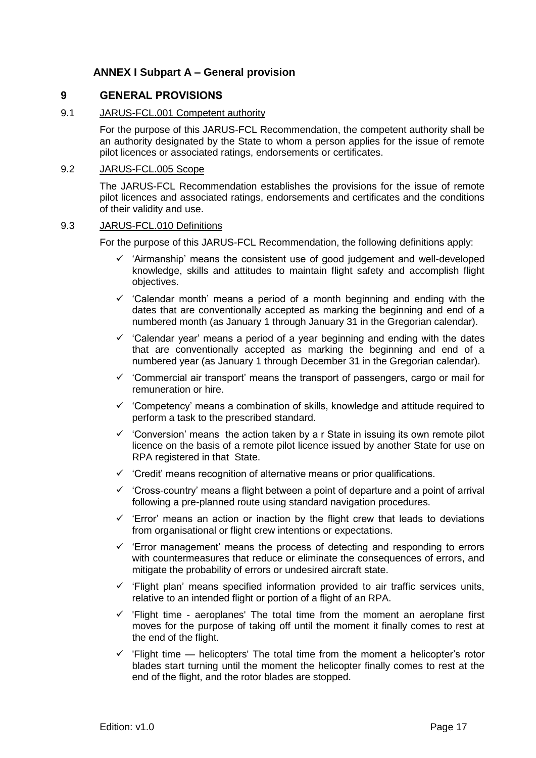#### **ANNEX I Subpart A – General provision**

#### <span id="page-16-1"></span><span id="page-16-0"></span>**9 GENERAL PROVISIONS**

#### <span id="page-16-2"></span>9.1 JARUS-FCL.001 Competent authority

For the purpose of this JARUS-FCL Recommendation, the competent authority shall be an authority designated by the State to whom a person applies for the issue of remote pilot licences or associated ratings, endorsements or certificates.

#### <span id="page-16-3"></span>9.2 JARUS-FCL.005 Scope

The JARUS-FCL Recommendation establishes the provisions for the issue of remote pilot licences and associated ratings, endorsements and certificates and the conditions of their validity and use.

#### <span id="page-16-4"></span>9.3 JARUS-FCL.010 Definitions

For the purpose of this JARUS-FCL Recommendation, the following definitions apply:

- $\checkmark$  'Airmanship' means the consistent use of good judgement and well-developed knowledge, skills and attitudes to maintain flight safety and accomplish flight objectives.
- $\checkmark$  'Calendar month' means a period of a month beginning and ending with the dates that are conventionally accepted as marking the beginning and end of a numbered month (as January 1 through January 31 in the Gregorian calendar).
- $\checkmark$  'Calendar year' means a period of a year beginning and ending with the dates that are conventionally accepted as marking the beginning and end of a numbered year (as January 1 through December 31 in the Gregorian calendar).
- $\checkmark$  'Commercial air transport' means the transport of passengers, cargo or mail for remuneration or hire.
- $\checkmark$  'Competency' means a combination of skills, knowledge and attitude required to perform a task to the prescribed standard.
- $\checkmark$  'Conversion' means the action taken by a r State in issuing its own remote pilot licence on the basis of a remote pilot licence issued by another State for use on RPA registered in that State.
- $\checkmark$  'Credit' means recognition of alternative means or prior qualifications.
- $\checkmark$  'Cross-country' means a flight between a point of departure and a point of arrival following a pre-planned route using standard navigation procedures.
- $\checkmark$  'Error' means an action or inaction by the flight crew that leads to deviations from organisational or flight crew intentions or expectations.
- $\checkmark$  'Error management' means the process of detecting and responding to errors with countermeasures that reduce or eliminate the consequences of errors, and mitigate the probability of errors or undesired aircraft state.
- $\checkmark$  'Flight plan' means specified information provided to air traffic services units, relative to an intended flight or portion of a flight of an RPA.
- $\checkmark$  'Flight time aeroplanes' The total time from the moment an aeroplane first moves for the purpose of taking off until the moment it finally comes to rest at the end of the flight.
- $\checkmark$  'Flight time helicopters' The total time from the moment a helicopter's rotor blades start turning until the moment the helicopter finally comes to rest at the end of the flight, and the rotor blades are stopped.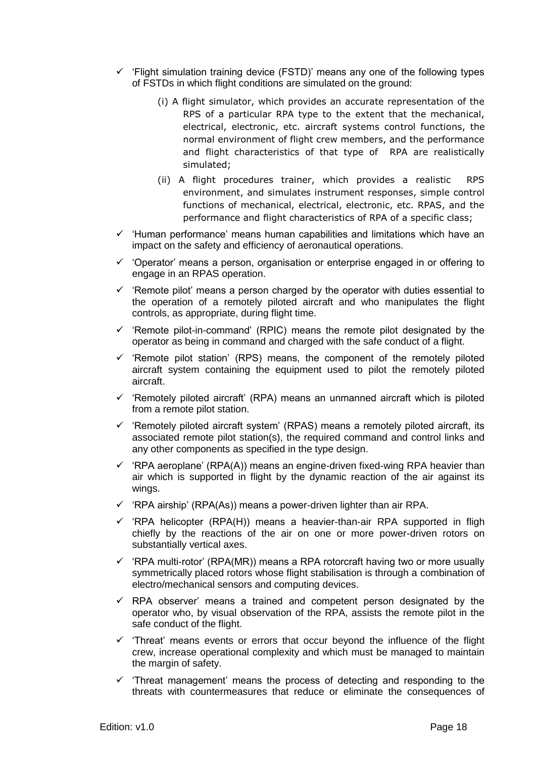- $\checkmark$  'Flight simulation training device (FSTD)' means any one of the following types of FSTDs in which flight conditions are simulated on the ground:
	- (i) A flight simulator, which provides an accurate representation of the RPS of a particular RPA type to the extent that the mechanical, electrical, electronic, etc. aircraft systems control functions, the normal environment of flight crew members, and the performance and flight characteristics of that type of RPA are realistically simulated;
	- (ii) A flight procedures trainer, which provides a realistic RPS environment, and simulates instrument responses, simple control functions of mechanical, electrical, electronic, etc. RPAS, and the performance and flight characteristics of RPA of a specific class;
- $\checkmark$  'Human performance' means human capabilities and limitations which have an impact on the safety and efficiency of aeronautical operations.
- $\checkmark$  'Operator' means a person, organisation or enterprise engaged in or offering to engage in an RPAS operation.
- $\checkmark$  'Remote pilot' means a person charged by the operator with duties essential to the operation of a remotely piloted aircraft and who manipulates the flight controls, as appropriate, during flight time.
- $\checkmark$  'Remote pilot-in-command' (RPIC) means the remote pilot designated by the operator as being in command and charged with the safe conduct of a flight.
- $\checkmark$  'Remote pilot station' (RPS) means, the component of the remotely piloted aircraft system containing the equipment used to pilot the remotely piloted aircraft.
- $\checkmark$  'Remotely piloted aircraft' (RPA) means an unmanned aircraft which is piloted from a remote pilot station.
- $\checkmark$  'Remotely piloted aircraft system' (RPAS) means a remotely piloted aircraft, its associated remote pilot station(s), the required command and control links and any other components as specified in the type design.
- $\checkmark$  'RPA aeroplane' (RPA(A)) means an engine-driven fixed-wing RPA heavier than air which is supported in flight by the dynamic reaction of the air against its wings.
- $\checkmark$  'RPA airship' (RPA(As)) means a power-driven lighter than air RPA.
- $\checkmark$  'RPA helicopter (RPA(H)) means a heavier-than-air RPA supported in fligh chiefly by the reactions of the air on one or more power-driven rotors on substantially vertical axes.
- $\checkmark$  'RPA multi-rotor' (RPA(MR)) means a RPA rotorcraft having two or more usually symmetrically placed rotors whose flight stabilisation is through a combination of electro/mechanical sensors and computing devices.
- $\checkmark$  RPA observer' means a trained and competent person designated by the operator who, by visual observation of the RPA, assists the remote pilot in the safe conduct of the flight.
- $\checkmark$  'Threat' means events or errors that occur beyond the influence of the flight crew, increase operational complexity and which must be managed to maintain the margin of safety.
- $\checkmark$  'Threat management' means the process of detecting and responding to the threats with countermeasures that reduce or eliminate the consequences of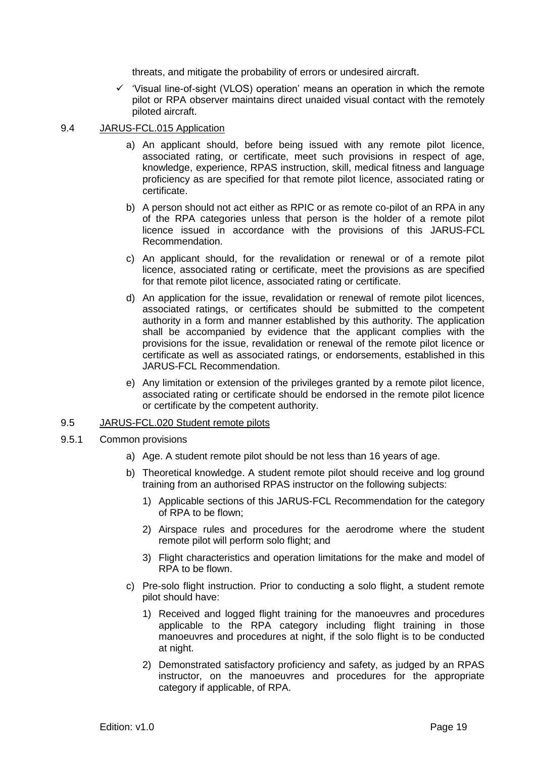threats, and mitigate the probability of errors or undesired aircraft.

 $\checkmark$  'Visual line-of-sight (VLOS) operation' means an operation in which the remote pilot or RPA observer maintains direct unaided visual contact with the remotely piloted aircraft.

#### <span id="page-18-0"></span>9.4 JARUS-FCL.015 Application

- a) An applicant should, before being issued with any remote pilot licence, associated rating, or certificate, meet such provisions in respect of age, knowledge, experience, RPAS instruction, skill, medical fitness and language proficiency as are specified for that remote pilot licence, associated rating or certificate.
- b) A person should not act either as RPIC or as remote co-pilot of an RPA in any of the RPA categories unless that person is the holder of a remote pilot licence issued in accordance with the provisions of this JARUS-FCL Recommendation.
- c) An applicant should, for the revalidation or renewal or of a remote pilot licence, associated rating or certificate, meet the provisions as are specified for that remote pilot licence, associated rating or certificate.
- d) An application for the issue, revalidation or renewal of remote pilot licences, associated ratings, or certificates should be submitted to the competent authority in a form and manner established by this authority. The application shall be accompanied by evidence that the applicant complies with the provisions for the issue, revalidation or renewal of the remote pilot licence or certificate as well as associated ratings, or endorsements, established in this JARUS-FCL Recommendation.
- e) Any limitation or extension of the privileges granted by a remote pilot licence, associated rating or certificate should be endorsed in the remote pilot licence or certificate by the competent authority.

#### <span id="page-18-1"></span>9.5 JARUS-FCL.020 Student remote pilots

- 9.5.1 Common provisions
	- a) Age. A student remote pilot should be not less than 16 years of age.
	- b) Theoretical knowledge. A student remote pilot should receive and log ground training from an authorised RPAS instructor on the following subjects:
		- 1) Applicable sections of this JARUS-FCL Recommendation for the category of RPA to be flown;
		- 2) Airspace rules and procedures for the aerodrome where the student remote pilot will perform solo flight; and
		- 3) Flight characteristics and operation limitations for the make and model of RPA to be flown.
	- c) Pre-solo flight instruction. Prior to conducting a solo flight, a student remote pilot should have:
		- 1) Received and logged flight training for the manoeuvres and procedures applicable to the RPA category including flight training in those manoeuvres and procedures at night, if the solo flight is to be conducted at night.
		- 2) Demonstrated satisfactory proficiency and safety, as judged by an RPAS instructor, on the manoeuvres and procedures for the appropriate category if applicable, of RPA.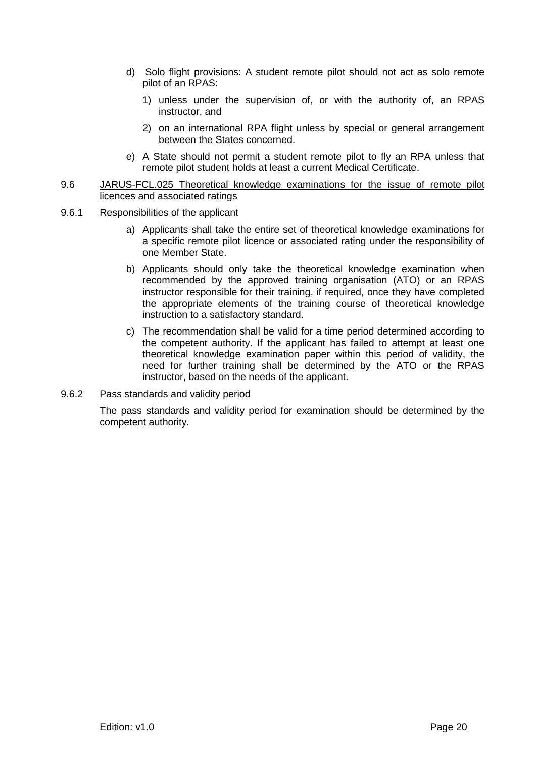- d) Solo flight provisions: A student remote pilot should not act as solo remote pilot of an RPAS:
	- 1) unless under the supervision of, or with the authority of, an RPAS instructor, and
	- 2) on an international RPA flight unless by special or general arrangement between the States concerned.
- e) A State should not permit a student remote pilot to fly an RPA unless that remote pilot student holds at least a current Medical Certificate.

#### <span id="page-19-0"></span>9.6 JARUS-FCL.025 Theoretical knowledge examinations for the issue of remote pilot licences and associated ratings

#### 9.6.1 Responsibilities of the applicant

- a) Applicants shall take the entire set of theoretical knowledge examinations for a specific remote pilot licence or associated rating under the responsibility of one Member State.
- b) Applicants should only take the theoretical knowledge examination when recommended by the approved training organisation (ATO) or an RPAS instructor responsible for their training, if required, once they have completed the appropriate elements of the training course of theoretical knowledge instruction to a satisfactory standard.
- c) The recommendation shall be valid for a time period determined according to the competent authority. If the applicant has failed to attempt at least one theoretical knowledge examination paper within this period of validity, the need for further training shall be determined by the ATO or the RPAS instructor, based on the needs of the applicant.

#### 9.6.2 Pass standards and validity period

The pass standards and validity period for examination should be determined by the competent authority.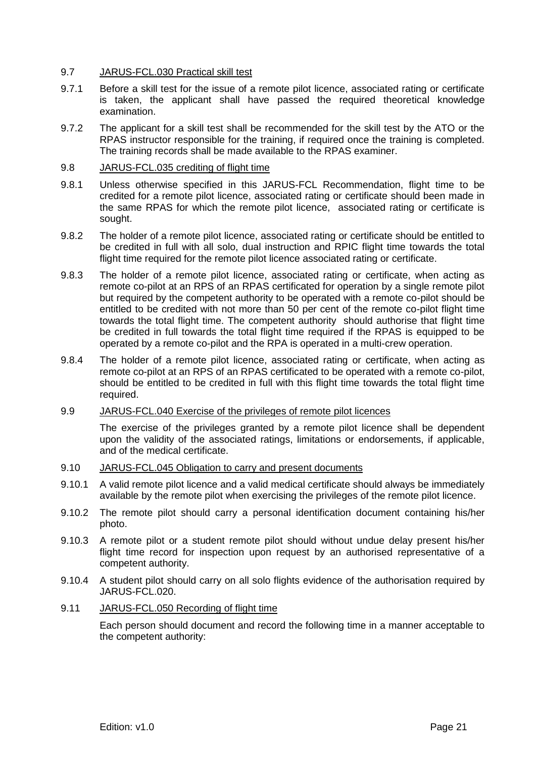#### <span id="page-20-0"></span>9.7 JARUS-FCL.030 Practical skill test

- 9.7.1 Before a skill test for the issue of a remote pilot licence, associated rating or certificate is taken, the applicant shall have passed the required theoretical knowledge examination.
- 9.7.2 The applicant for a skill test shall be recommended for the skill test by the ATO or the RPAS instructor responsible for the training, if required once the training is completed. The training records shall be made available to the RPAS examiner.

#### <span id="page-20-1"></span>9.8 JARUS-FCL.035 crediting of flight time

- 9.8.1 Unless otherwise specified in this JARUS-FCL Recommendation, flight time to be credited for a remote pilot licence, associated rating or certificate should been made in the same RPAS for which the remote pilot licence, associated rating or certificate is sought.
- 9.8.2 The holder of a remote pilot licence, associated rating or certificate should be entitled to be credited in full with all solo, dual instruction and RPIC flight time towards the total flight time required for the remote pilot licence associated rating or certificate.
- 9.8.3 The holder of a remote pilot licence, associated rating or certificate, when acting as remote co-pilot at an RPS of an RPAS certificated for operation by a single remote pilot but required by the competent authority to be operated with a remote co-pilot should be entitled to be credited with not more than 50 per cent of the remote co-pilot flight time towards the total flight time. The competent authority should authorise that flight time be credited in full towards the total flight time required if the RPAS is equipped to be operated by a remote co-pilot and the RPA is operated in a multi-crew operation.
- 9.8.4 The holder of a remote pilot licence, associated rating or certificate, when acting as remote co-pilot at an RPS of an RPAS certificated to be operated with a remote co-pilot, should be entitled to be credited in full with this flight time towards the total flight time required.

#### <span id="page-20-2"></span>9.9 JARUS-FCL.040 Exercise of the privileges of remote pilot licences

The exercise of the privileges granted by a remote pilot licence shall be dependent upon the validity of the associated ratings, limitations or endorsements, if applicable, and of the medical certificate.

- <span id="page-20-3"></span>9.10 JARUS-FCL.045 Obligation to carry and present documents
- 9.10.1 A valid remote pilot licence and a valid medical certificate should always be immediately available by the remote pilot when exercising the privileges of the remote pilot licence.
- 9.10.2 The remote pilot should carry a personal identification document containing his/her photo.
- 9.10.3 A remote pilot or a student remote pilot should without undue delay present his/her flight time record for inspection upon request by an authorised representative of a competent authority.
- 9.10.4 A student pilot should carry on all solo flights evidence of the authorisation required by JARUS-FCL.020.

#### <span id="page-20-4"></span>9.11 JARUS-FCL.050 Recording of flight time

Each person should document and record the following time in a manner acceptable to the competent authority: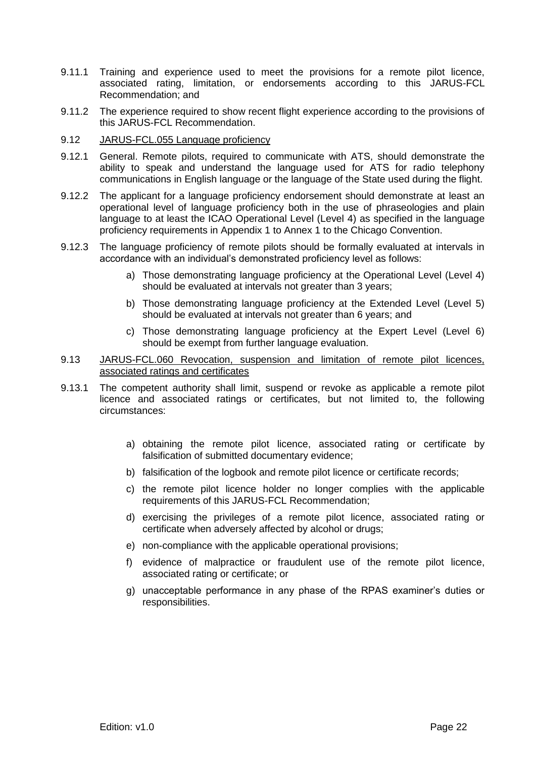- 9.11.1 Training and experience used to meet the provisions for a remote pilot licence, associated rating, limitation, or endorsements according to this JARUS-FCL Recommendation; and
- 9.11.2 The experience required to show recent flight experience according to the provisions of this JARUS-FCL Recommendation.
- <span id="page-21-0"></span>9.12 JARUS-FCL.055 Language proficiency
- 9.12.1 General. Remote pilots, required to communicate with ATS, should demonstrate the ability to speak and understand the language used for ATS for radio telephony communications in English language or the language of the State used during the flight.
- 9.12.2 The applicant for a language proficiency endorsement should demonstrate at least an operational level of language proficiency both in the use of phraseologies and plain language to at least the ICAO Operational Level (Level 4) as specified in the language proficiency requirements in Appendix 1 to Annex 1 to the Chicago Convention.
- 9.12.3 The language proficiency of remote pilots should be formally evaluated at intervals in accordance with an individual's demonstrated proficiency level as follows:
	- a) Those demonstrating language proficiency at the Operational Level (Level 4) should be evaluated at intervals not greater than 3 years;
	- b) Those demonstrating language proficiency at the Extended Level (Level 5) should be evaluated at intervals not greater than 6 years; and
	- c) Those demonstrating language proficiency at the Expert Level (Level 6) should be exempt from further language evaluation.
- <span id="page-21-1"></span>9.13 JARUS-FCL.060 Revocation, suspension and limitation of remote pilot licences, associated ratings and certificates
- 9.13.1 The competent authority shall limit, suspend or revoke as applicable a remote pilot licence and associated ratings or certificates, but not limited to, the following circumstances:
	- a) obtaining the remote pilot licence, associated rating or certificate by falsification of submitted documentary evidence;
	- b) falsification of the logbook and remote pilot licence or certificate records;
	- c) the remote pilot licence holder no longer complies with the applicable requirements of this JARUS-FCL Recommendation;
	- d) exercising the privileges of a remote pilot licence, associated rating or certificate when adversely affected by alcohol or drugs;
	- e) non-compliance with the applicable operational provisions;
	- f) evidence of malpractice or fraudulent use of the remote pilot licence, associated rating or certificate; or
	- g) unacceptable performance in any phase of the RPAS examiner's duties or responsibilities.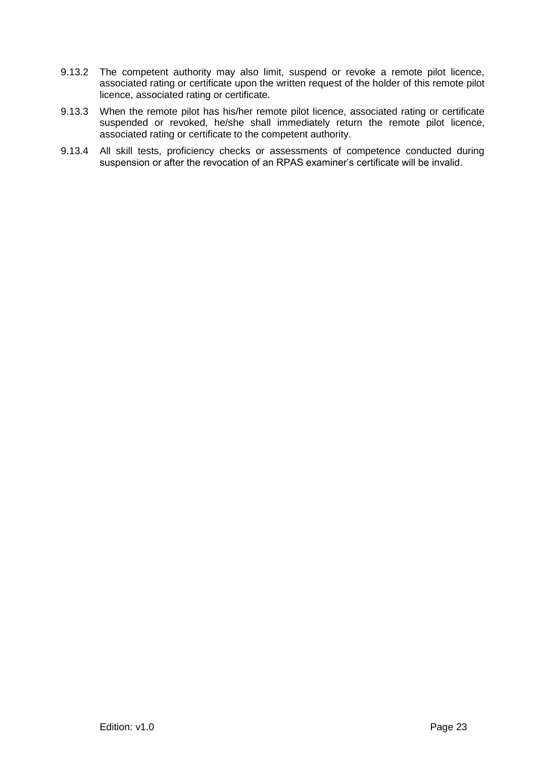- 9.13.2 The competent authority may also limit, suspend or revoke a remote pilot licence, associated rating or certificate upon the written request of the holder of this remote pilot licence, associated rating or certificate.
- 9.13.3 When the remote pilot has his/her remote pilot licence, associated rating or certificate suspended or revoked, he/she shall immediately return the remote pilot licence, associated rating or certificate to the competent authority.
- 9.13.4 All skill tests, proficiency checks or assessments of competence conducted during suspension or after the revocation of an RPAS examiner's certificate will be invalid.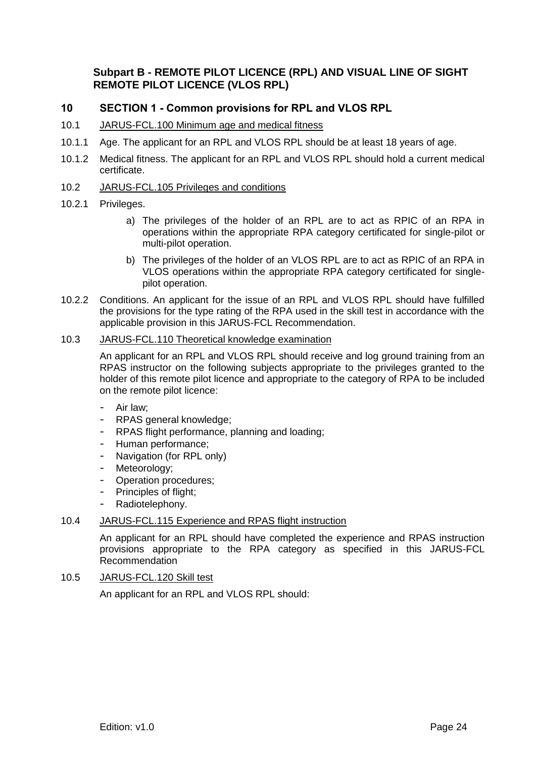#### <span id="page-23-0"></span>**Subpart B - REMOTE PILOT LICENCE (RPL) AND VISUAL LINE OF SIGHT REMOTE PILOT LICENCE (VLOS RPL)**

#### <span id="page-23-1"></span>**10 SECTION 1 - Common provisions for RPL and VLOS RPL**

- <span id="page-23-2"></span>10.1 JARUS-FCL.100 Minimum age and medical fitness
- 10.1.1 Age. The applicant for an RPL and VLOS RPL should be at least 18 years of age.
- 10.1.2 Medical fitness. The applicant for an RPL and VLOS RPL should hold a current medical certificate.
- <span id="page-23-3"></span>10.2 JARUS-FCL.105 Privileges and conditions
- 10.2.1 Privileges.
	- a) The privileges of the holder of an RPL are to act as RPIC of an RPA in operations within the appropriate RPA category certificated for single-pilot or multi-pilot operation.
	- b) The privileges of the holder of an VLOS RPL are to act as RPIC of an RPA in VLOS operations within the appropriate RPA category certificated for singlepilot operation.
- 10.2.2 Conditions. An applicant for the issue of an RPL and VLOS RPL should have fulfilled the provisions for the type rating of the RPA used in the skill test in accordance with the applicable provision in this JARUS-FCL Recommendation.

#### <span id="page-23-4"></span>10.3 JARUS-FCL.110 Theoretical knowledge examination

An applicant for an RPL and VLOS RPL should receive and log ground training from an RPAS instructor on the following subjects appropriate to the privileges granted to the holder of this remote pilot licence and appropriate to the category of RPA to be included on the remote pilot licence:

- Air law;
- RPAS general knowledge;
- RPAS flight performance, planning and loading;
- Human performance;
- Navigation (for RPL only)
- Meteorology;
- Operation procedures;
- Principles of flight;
- Radiotelephony.

#### <span id="page-23-5"></span>10.4 JARUS-FCL.115 Experience and RPAS flight instruction

An applicant for an RPL should have completed the experience and RPAS instruction provisions appropriate to the RPA category as specified in this JARUS-FCL Recommendation

#### <span id="page-23-6"></span>10.5 JARUS-FCL.120 Skill test

An applicant for an RPL and VLOS RPL should: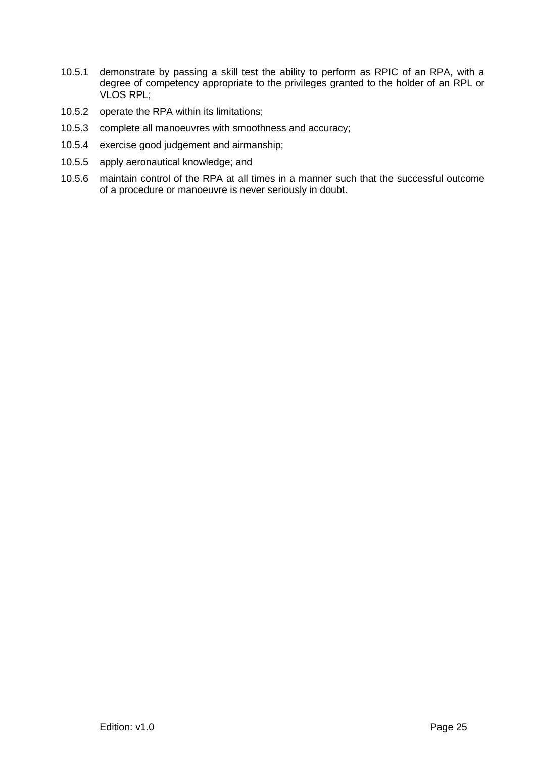- 10.5.1 demonstrate by passing a skill test the ability to perform as RPIC of an RPA, with a degree of competency appropriate to the privileges granted to the holder of an RPL or VLOS RPL;
- 10.5.2 operate the RPA within its limitations;
- 10.5.3 complete all manoeuvres with smoothness and accuracy;
- 10.5.4 exercise good judgement and airmanship;
- 10.5.5 apply aeronautical knowledge; and
- 10.5.6 maintain control of the RPA at all times in a manner such that the successful outcome of a procedure or manoeuvre is never seriously in doubt.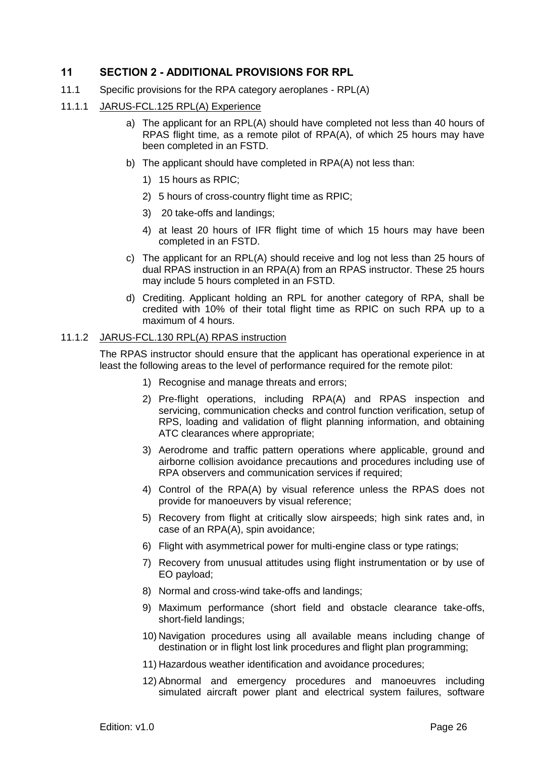#### <span id="page-25-0"></span>**11 SECTION 2 - ADDITIONAL PROVISIONS FOR RPL**

- <span id="page-25-1"></span>11.1 Specific provisions for the RPA category aeroplanes - RPL(A)
- 11.1.1 JARUS-FCL.125 RPL(A) Experience
	- a) The applicant for an RPL(A) should have completed not less than 40 hours of RPAS flight time, as a remote pilot of RPA(A), of which 25 hours may have been completed in an FSTD.
	- b) The applicant should have completed in RPA(A) not less than:
		- 1) 15 hours as RPIC;
		- 2) 5 hours of cross-country flight time as RPIC;
		- 3) 20 take-offs and landings;
		- 4) at least 20 hours of IFR flight time of which 15 hours may have been completed in an FSTD.
	- c) The applicant for an RPL(A) should receive and log not less than 25 hours of dual RPAS instruction in an RPA(A) from an RPAS instructor. These 25 hours may include 5 hours completed in an FSTD.
	- d) Crediting. Applicant holding an RPL for another category of RPA, shall be credited with 10% of their total flight time as RPIC on such RPA up to a maximum of 4 hours.

#### 11.1.2 JARUS-FCL.130 RPL(A) RPAS instruction

- 1) Recognise and manage threats and errors;
- 2) Pre-flight operations, including RPA(A) and RPAS inspection and servicing, communication checks and control function verification, setup of RPS, loading and validation of flight planning information, and obtaining ATC clearances where appropriate;
- 3) Aerodrome and traffic pattern operations where applicable, ground and airborne collision avoidance precautions and procedures including use of RPA observers and communication services if required;
- 4) Control of the RPA(A) by visual reference unless the RPAS does not provide for manoeuvers by visual reference;
- 5) Recovery from flight at critically slow airspeeds; high sink rates and, in case of an RPA(A), spin avoidance;
- 6) Flight with asymmetrical power for multi-engine class or type ratings;
- 7) Recovery from unusual attitudes using flight instrumentation or by use of EO payload;
- 8) Normal and cross-wind take-offs and landings;
- 9) Maximum performance (short field and obstacle clearance take-offs, short-field landings;
- 10) Navigation procedures using all available means including change of destination or in flight lost link procedures and flight plan programming;
- 11) Hazardous weather identification and avoidance procedures;
- 12) Abnormal and emergency procedures and manoeuvres including simulated aircraft power plant and electrical system failures, software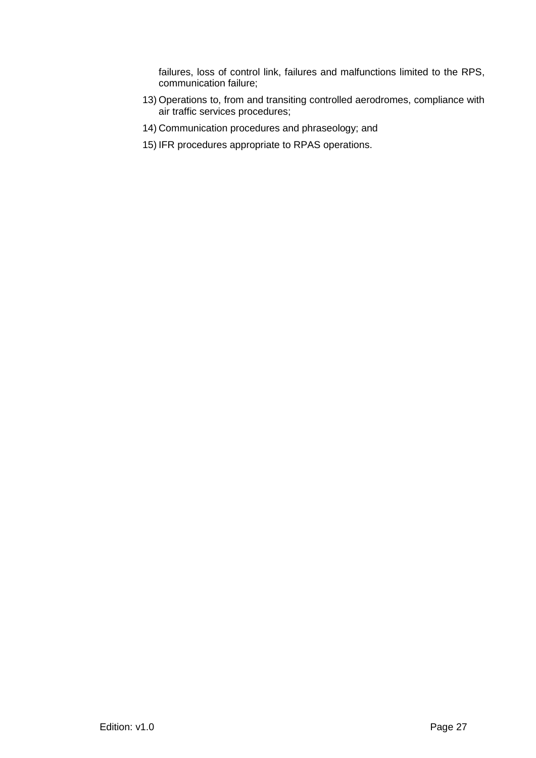failures, loss of control link, failures and malfunctions limited to the RPS, communication failure;

- 13) Operations to, from and transiting controlled aerodromes, compliance with air traffic services procedures;
- 14) Communication procedures and phraseology; and
- 15) IFR procedures appropriate to RPAS operations.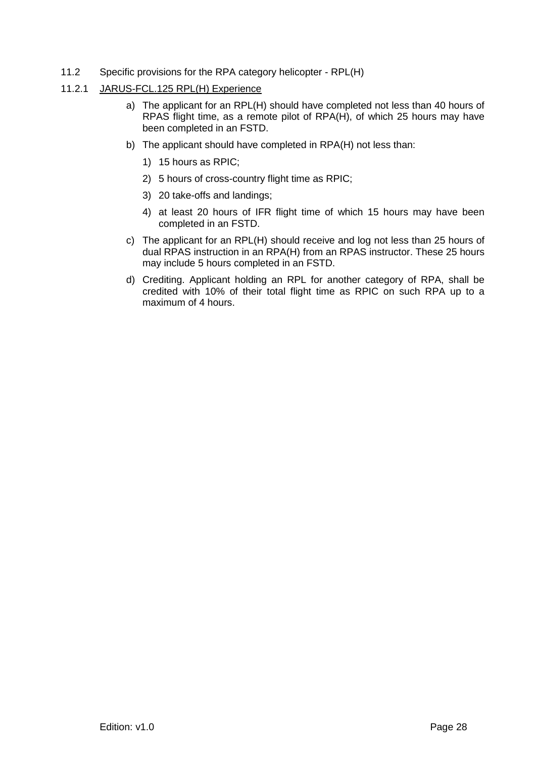- <span id="page-27-0"></span>11.2 Specific provisions for the RPA category helicopter - RPL(H)
- 11.2.1 JARUS-FCL.125 RPL(H) Experience
	- a) The applicant for an RPL(H) should have completed not less than 40 hours of RPAS flight time, as a remote pilot of RPA(H), of which 25 hours may have been completed in an FSTD.
	- b) The applicant should have completed in RPA(H) not less than:
		- 1) 15 hours as RPIC;
		- 2) 5 hours of cross-country flight time as RPIC;
		- 3) 20 take-offs and landings;
		- 4) at least 20 hours of IFR flight time of which 15 hours may have been completed in an FSTD.
	- c) The applicant for an RPL(H) should receive and log not less than 25 hours of dual RPAS instruction in an RPA(H) from an RPAS instructor. These 25 hours may include 5 hours completed in an FSTD.
	- d) Crediting. Applicant holding an RPL for another category of RPA, shall be credited with 10% of their total flight time as RPIC on such RPA up to a maximum of 4 hours.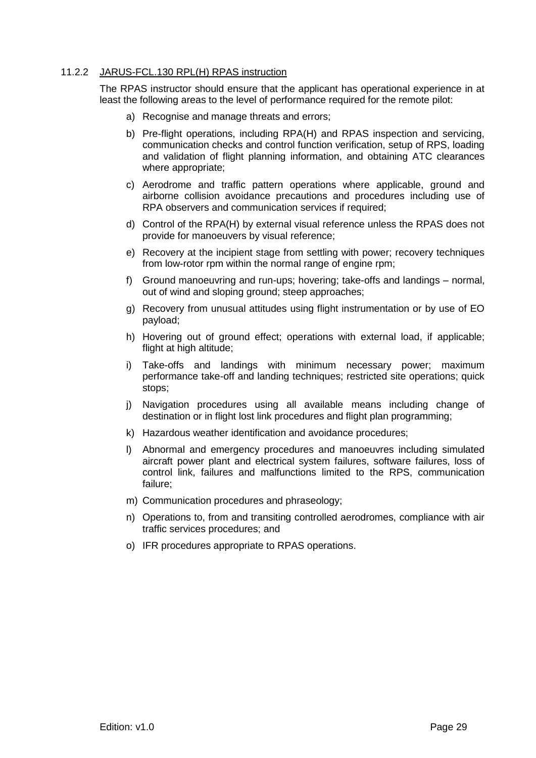#### 11.2.2 JARUS-FCL.130 RPL(H) RPAS instruction

- a) Recognise and manage threats and errors;
- b) Pre-flight operations, including RPA(H) and RPAS inspection and servicing, communication checks and control function verification, setup of RPS, loading and validation of flight planning information, and obtaining ATC clearances where appropriate;
- c) Aerodrome and traffic pattern operations where applicable, ground and airborne collision avoidance precautions and procedures including use of RPA observers and communication services if required;
- d) Control of the RPA(H) by external visual reference unless the RPAS does not provide for manoeuvers by visual reference;
- e) Recovery at the incipient stage from settling with power; recovery techniques from low-rotor rpm within the normal range of engine rpm;
- f) Ground manoeuvring and run-ups; hovering; take-offs and landings normal, out of wind and sloping ground; steep approaches;
- g) Recovery from unusual attitudes using flight instrumentation or by use of EO payload;
- h) Hovering out of ground effect; operations with external load, if applicable; flight at high altitude;
- i) Take-offs and landings with minimum necessary power; maximum performance take-off and landing techniques; restricted site operations; quick stops;
- j) Navigation procedures using all available means including change of destination or in flight lost link procedures and flight plan programming;
- k) Hazardous weather identification and avoidance procedures;
- l) Abnormal and emergency procedures and manoeuvres including simulated aircraft power plant and electrical system failures, software failures, loss of control link, failures and malfunctions limited to the RPS, communication failure;
- m) Communication procedures and phraseology;
- n) Operations to, from and transiting controlled aerodromes, compliance with air traffic services procedures; and
- o) IFR procedures appropriate to RPAS operations.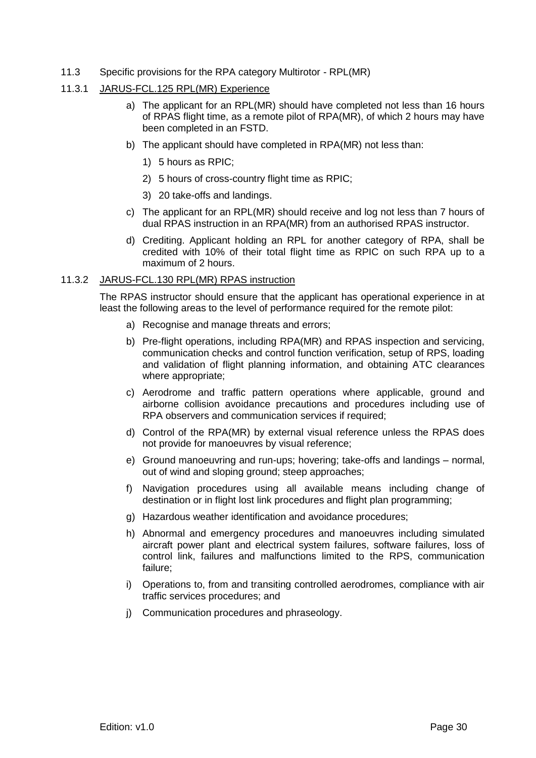- <span id="page-29-0"></span>11.3 Specific provisions for the RPA category Multirotor - RPL(MR)
- 11.3.1 JARUS-FCL.125 RPL(MR) Experience
	- a) The applicant for an RPL(MR) should have completed not less than 16 hours of RPAS flight time, as a remote pilot of RPA(MR), of which 2 hours may have been completed in an FSTD.
	- b) The applicant should have completed in RPA(MR) not less than:
		- 1) 5 hours as RPIC;
		- 2) 5 hours of cross-country flight time as RPIC;
		- 3) 20 take-offs and landings.
	- c) The applicant for an RPL(MR) should receive and log not less than 7 hours of dual RPAS instruction in an RPA(MR) from an authorised RPAS instructor.
	- d) Crediting. Applicant holding an RPL for another category of RPA, shall be credited with 10% of their total flight time as RPIC on such RPA up to a maximum of 2 hours.

#### 11.3.2 JARUS-FCL.130 RPL(MR) RPAS instruction

- a) Recognise and manage threats and errors:
- b) Pre-flight operations, including RPA(MR) and RPAS inspection and servicing, communication checks and control function verification, setup of RPS, loading and validation of flight planning information, and obtaining ATC clearances where appropriate;
- c) Aerodrome and traffic pattern operations where applicable, ground and airborne collision avoidance precautions and procedures including use of RPA observers and communication services if required;
- d) Control of the RPA(MR) by external visual reference unless the RPAS does not provide for manoeuvres by visual reference;
- e) Ground manoeuvring and run-ups; hovering; take-offs and landings normal, out of wind and sloping ground; steep approaches;
- f) Navigation procedures using all available means including change of destination or in flight lost link procedures and flight plan programming;
- g) Hazardous weather identification and avoidance procedures;
- h) Abnormal and emergency procedures and manoeuvres including simulated aircraft power plant and electrical system failures, software failures, loss of control link, failures and malfunctions limited to the RPS, communication failure;
- i) Operations to, from and transiting controlled aerodromes, compliance with air traffic services procedures; and
- j) Communication procedures and phraseology.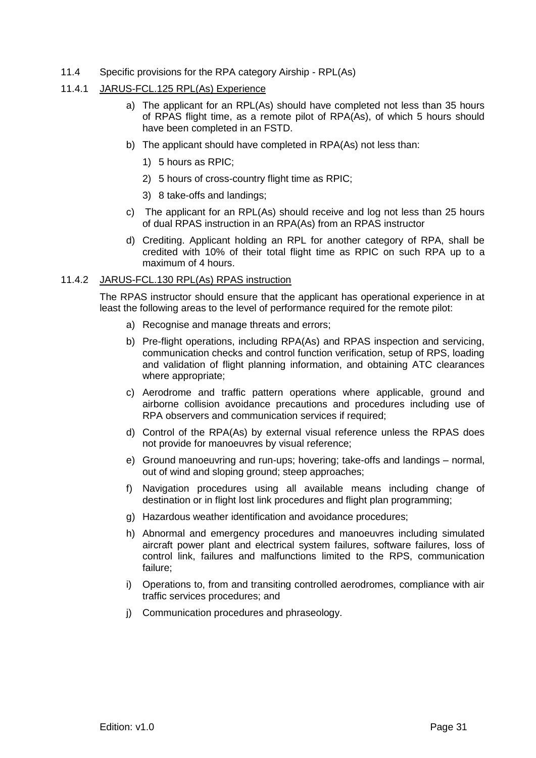<span id="page-30-0"></span>11.4 Specific provisions for the RPA category Airship - RPL(As)

#### 11.4.1 JARUS-FCL.125 RPL(As) Experience

- a) The applicant for an RPL(As) should have completed not less than 35 hours of RPAS flight time, as a remote pilot of RPA(As), of which 5 hours should have been completed in an FSTD.
- b) The applicant should have completed in RPA(As) not less than:
	- 1) 5 hours as RPIC;
	- 2) 5 hours of cross-country flight time as RPIC;
	- 3) 8 take-offs and landings;
- c) The applicant for an RPL(As) should receive and log not less than 25 hours of dual RPAS instruction in an RPA(As) from an RPAS instructor
- d) Crediting. Applicant holding an RPL for another category of RPA, shall be credited with 10% of their total flight time as RPIC on such RPA up to a maximum of 4 hours.

#### 11.4.2 JARUS-FCL.130 RPL(As) RPAS instruction

- a) Recognise and manage threats and errors:
- b) Pre-flight operations, including RPA(As) and RPAS inspection and servicing, communication checks and control function verification, setup of RPS, loading and validation of flight planning information, and obtaining ATC clearances where appropriate;
- c) Aerodrome and traffic pattern operations where applicable, ground and airborne collision avoidance precautions and procedures including use of RPA observers and communication services if required;
- d) Control of the RPA(As) by external visual reference unless the RPAS does not provide for manoeuvres by visual reference;
- e) Ground manoeuvring and run-ups; hovering; take-offs and landings normal, out of wind and sloping ground; steep approaches;
- f) Navigation procedures using all available means including change of destination or in flight lost link procedures and flight plan programming;
- g) Hazardous weather identification and avoidance procedures;
- h) Abnormal and emergency procedures and manoeuvres including simulated aircraft power plant and electrical system failures, software failures, loss of control link, failures and malfunctions limited to the RPS, communication failure;
- i) Operations to, from and transiting controlled aerodromes, compliance with air traffic services procedures; and
- j) Communication procedures and phraseology.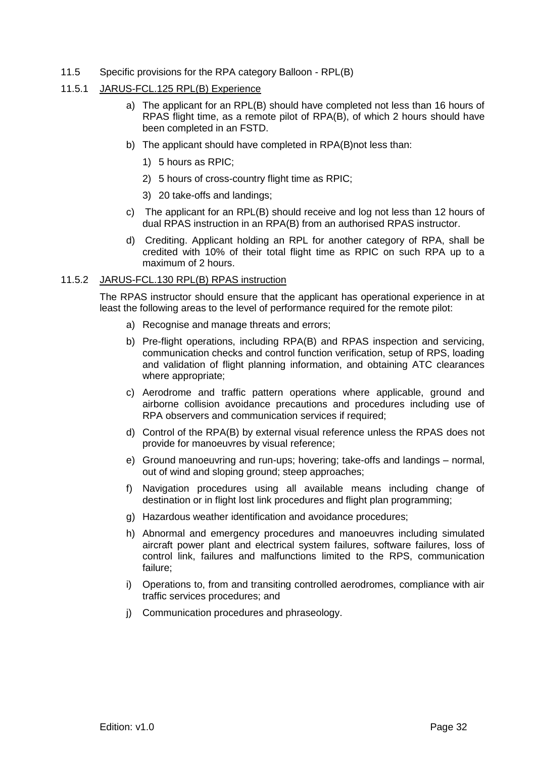<span id="page-31-0"></span>11.5 Specific provisions for the RPA category Balloon - RPL(B)

#### 11.5.1 JARUS-FCL.125 RPL(B) Experience

- a) The applicant for an RPL(B) should have completed not less than 16 hours of RPAS flight time, as a remote pilot of RPA(B), of which 2 hours should have been completed in an FSTD.
- b) The applicant should have completed in RPA(B)not less than:
	- 1) 5 hours as RPIC;
	- 2) 5 hours of cross-country flight time as RPIC;
	- 3) 20 take-offs and landings;
- c) The applicant for an RPL(B) should receive and log not less than 12 hours of dual RPAS instruction in an RPA(B) from an authorised RPAS instructor.
- d) Crediting. Applicant holding an RPL for another category of RPA, shall be credited with 10% of their total flight time as RPIC on such RPA up to a maximum of 2 hours.

#### 11.5.2 JARUS-FCL.130 RPL(B) RPAS instruction

- a) Recognise and manage threats and errors:
- b) Pre-flight operations, including RPA(B) and RPAS inspection and servicing, communication checks and control function verification, setup of RPS, loading and validation of flight planning information, and obtaining ATC clearances where appropriate;
- c) Aerodrome and traffic pattern operations where applicable, ground and airborne collision avoidance precautions and procedures including use of RPA observers and communication services if required;
- d) Control of the RPA(B) by external visual reference unless the RPAS does not provide for manoeuvres by visual reference;
- e) Ground manoeuvring and run-ups; hovering; take-offs and landings normal, out of wind and sloping ground; steep approaches;
- f) Navigation procedures using all available means including change of destination or in flight lost link procedures and flight plan programming;
- g) Hazardous weather identification and avoidance procedures;
- h) Abnormal and emergency procedures and manoeuvres including simulated aircraft power plant and electrical system failures, software failures, loss of control link, failures and malfunctions limited to the RPS, communication failure;
- i) Operations to, from and transiting controlled aerodromes, compliance with air traffic services procedures; and
- j) Communication procedures and phraseology.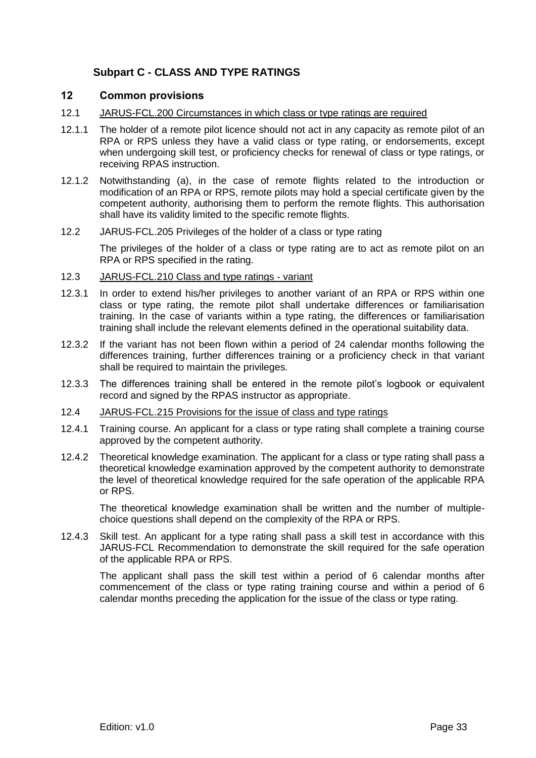#### **Subpart C - CLASS AND TYPE RATINGS**

#### <span id="page-32-1"></span><span id="page-32-0"></span>**12 Common provisions**

- <span id="page-32-2"></span>12.1 JARUS-FCL.200 Circumstances in which class or type ratings are required
- 12.1.1 The holder of a remote pilot licence should not act in any capacity as remote pilot of an RPA or RPS unless they have a valid class or type rating, or endorsements, except when undergoing skill test, or proficiency checks for renewal of class or type ratings, or receiving RPAS instruction.
- 12.1.2 Notwithstanding (a), in the case of remote flights related to the introduction or modification of an RPA or RPS, remote pilots may hold a special certificate given by the competent authority, authorising them to perform the remote flights. This authorisation shall have its validity limited to the specific remote flights.
- <span id="page-32-3"></span>12.2 JARUS-FCL.205 Privileges of the holder of a class or type rating

The privileges of the holder of a class or type rating are to act as remote pilot on an RPA or RPS specified in the rating.

- <span id="page-32-4"></span>12.3 JARUS-FCL.210 Class and type ratings - variant
- 12.3.1 In order to extend his/her privileges to another variant of an RPA or RPS within one class or type rating, the remote pilot shall undertake differences or familiarisation training. In the case of variants within a type rating, the differences or familiarisation training shall include the relevant elements defined in the operational suitability data.
- 12.3.2 If the variant has not been flown within a period of 24 calendar months following the differences training, further differences training or a proficiency check in that variant shall be required to maintain the privileges.
- 12.3.3 The differences training shall be entered in the remote pilot's logbook or equivalent record and signed by the RPAS instructor as appropriate.
- <span id="page-32-5"></span>12.4 JARUS-FCL.215 Provisions for the issue of class and type ratings
- 12.4.1 Training course. An applicant for a class or type rating shall complete a training course approved by the competent authority.
- 12.4.2 Theoretical knowledge examination. The applicant for a class or type rating shall pass a theoretical knowledge examination approved by the competent authority to demonstrate the level of theoretical knowledge required for the safe operation of the applicable RPA or RPS.

The theoretical knowledge examination shall be written and the number of multiplechoice questions shall depend on the complexity of the RPA or RPS.

12.4.3 Skill test. An applicant for a type rating shall pass a skill test in accordance with this JARUS-FCL Recommendation to demonstrate the skill required for the safe operation of the applicable RPA or RPS.

The applicant shall pass the skill test within a period of 6 calendar months after commencement of the class or type rating training course and within a period of 6 calendar months preceding the application for the issue of the class or type rating.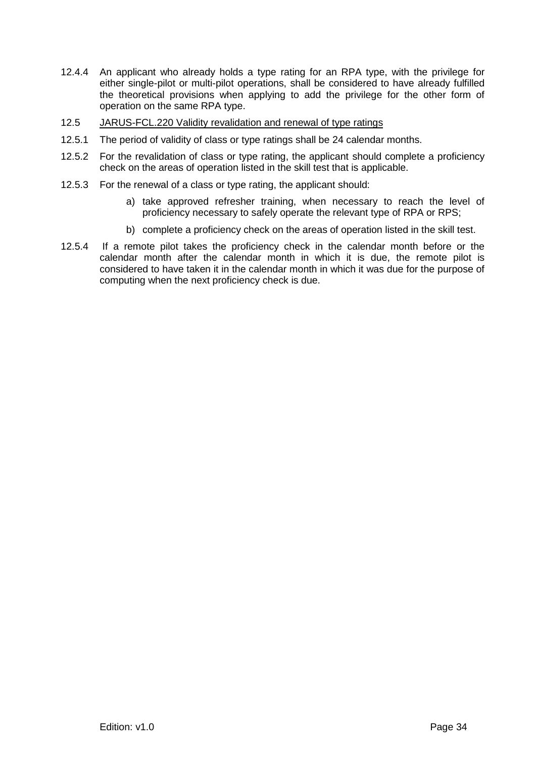- 12.4.4 An applicant who already holds a type rating for an RPA type, with the privilege for either single-pilot or multi-pilot operations, shall be considered to have already fulfilled the theoretical provisions when applying to add the privilege for the other form of operation on the same RPA type.
- <span id="page-33-0"></span>12.5 JARUS-FCL.220 Validity revalidation and renewal of type ratings
- 12.5.1 The period of validity of class or type ratings shall be 24 calendar months.
- 12.5.2 For the revalidation of class or type rating, the applicant should complete a proficiency check on the areas of operation listed in the skill test that is applicable.
- 12.5.3 For the renewal of a class or type rating, the applicant should:
	- a) take approved refresher training, when necessary to reach the level of proficiency necessary to safely operate the relevant type of RPA or RPS;
	- b) complete a proficiency check on the areas of operation listed in the skill test.
- 12.5.4 If a remote pilot takes the proficiency check in the calendar month before or the calendar month after the calendar month in which it is due, the remote pilot is considered to have taken it in the calendar month in which it was due for the purpose of computing when the next proficiency check is due.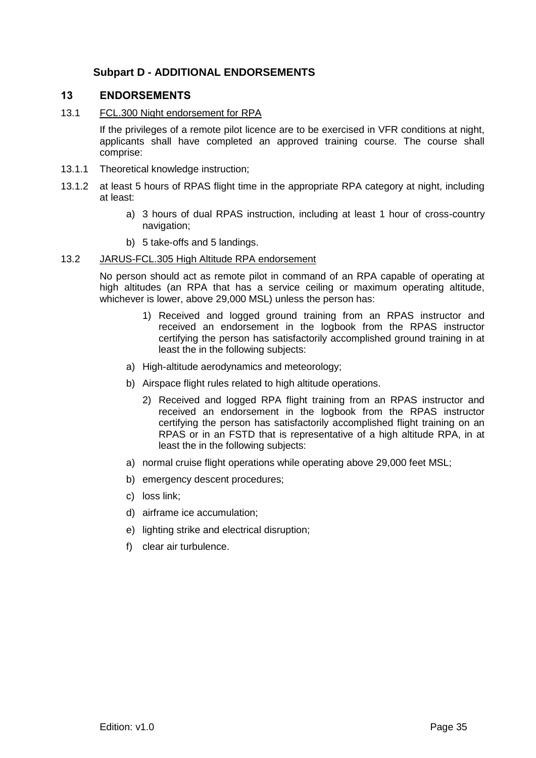#### **Subpart D - ADDITIONAL ENDORSEMENTS**

#### <span id="page-34-1"></span><span id="page-34-0"></span>**13 ENDORSEMENTS**

<span id="page-34-2"></span>13.1 FCL.300 Night endorsement for RPA

If the privileges of a remote pilot licence are to be exercised in VFR conditions at night, applicants shall have completed an approved training course. The course shall comprise:

- 13.1.1 Theoretical knowledge instruction;
- 13.1.2 at least 5 hours of RPAS flight time in the appropriate RPA category at night, including at least:
	- a) 3 hours of dual RPAS instruction, including at least 1 hour of cross-country navigation;
	- b) 5 take-offs and 5 landings.

#### <span id="page-34-3"></span>13.2 JARUS-FCL.305 High Altitude RPA endorsement

No person should act as remote pilot in command of an RPA capable of operating at high altitudes (an RPA that has a service ceiling or maximum operating altitude, whichever is lower, above 29,000 MSL) unless the person has:

- 1) Received and logged ground training from an RPAS instructor and received an endorsement in the logbook from the RPAS instructor certifying the person has satisfactorily accomplished ground training in at least the in the following subjects:
- a) High-altitude aerodynamics and meteorology;
- b) Airspace flight rules related to high altitude operations.
	- 2) Received and logged RPA flight training from an RPAS instructor and received an endorsement in the logbook from the RPAS instructor certifying the person has satisfactorily accomplished flight training on an RPAS or in an FSTD that is representative of a high altitude RPA, in at least the in the following subjects:
- a) normal cruise flight operations while operating above 29,000 feet MSL;
- b) emergency descent procedures;
- c) loss link;
- d) airframe ice accumulation;
- e) lighting strike and electrical disruption;
- f) clear air turbulence.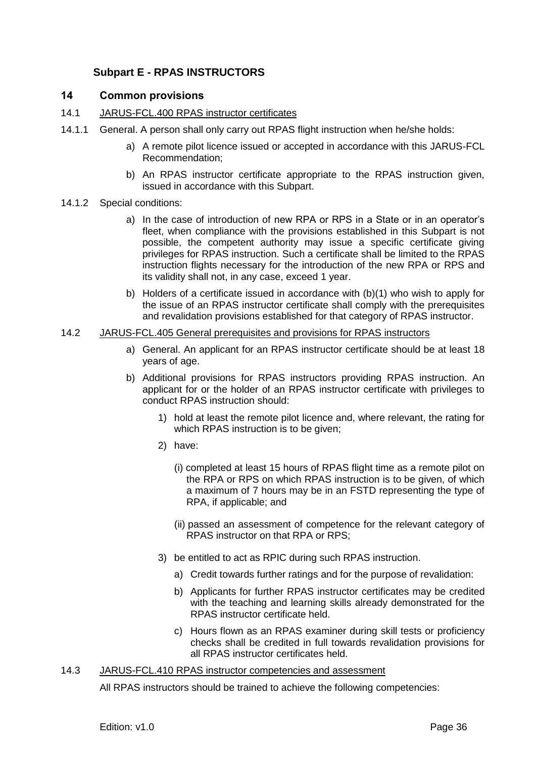#### **Subpart E - RPAS INSTRUCTORS**

#### <span id="page-35-1"></span><span id="page-35-0"></span>**14 Common provisions**

- <span id="page-35-2"></span>14.1 JARUS-FCL.400 RPAS instructor certificates
- 14.1.1 General. A person shall only carry out RPAS flight instruction when he/she holds:
	- a) A remote pilot licence issued or accepted in accordance with this JARUS-FCL Recommendation;
	- b) An RPAS instructor certificate appropriate to the RPAS instruction given, issued in accordance with this Subpart.
- 14.1.2 Special conditions:
	- a) In the case of introduction of new RPA or RPS in a State or in an operator's fleet, when compliance with the provisions established in this Subpart is not possible, the competent authority may issue a specific certificate giving privileges for RPAS instruction. Such a certificate shall be limited to the RPAS instruction flights necessary for the introduction of the new RPA or RPS and its validity shall not, in any case, exceed 1 year.
	- b) Holders of a certificate issued in accordance with (b)(1) who wish to apply for the issue of an RPAS instructor certificate shall comply with the prerequisites and revalidation provisions established for that category of RPAS instructor.

#### <span id="page-35-3"></span>14.2 JARUS-FCL.405 General prerequisites and provisions for RPAS instructors

- a) General. An applicant for an RPAS instructor certificate should be at least 18 years of age.
- b) Additional provisions for RPAS instructors providing RPAS instruction. An applicant for or the holder of an RPAS instructor certificate with privileges to conduct RPAS instruction should:
	- 1) hold at least the remote pilot licence and, where relevant, the rating for which RPAS instruction is to be given;
	- 2) have:
		- (i) completed at least 15 hours of RPAS flight time as a remote pilot on the RPA or RPS on which RPAS instruction is to be given, of which a maximum of 7 hours may be in an FSTD representing the type of RPA, if applicable; and
		- (ii) passed an assessment of competence for the relevant category of RPAS instructor on that RPA or RPS;
	- 3) be entitled to act as RPIC during such RPAS instruction.
		- a) Credit towards further ratings and for the purpose of revalidation:
		- b) Applicants for further RPAS instructor certificates may be credited with the teaching and learning skills already demonstrated for the RPAS instructor certificate held.
		- c) Hours flown as an RPAS examiner during skill tests or proficiency checks shall be credited in full towards revalidation provisions for all RPAS instructor certificates held.

#### <span id="page-35-4"></span>14.3 JARUS-FCL.410 RPAS instructor competencies and assessment

All RPAS instructors should be trained to achieve the following competencies: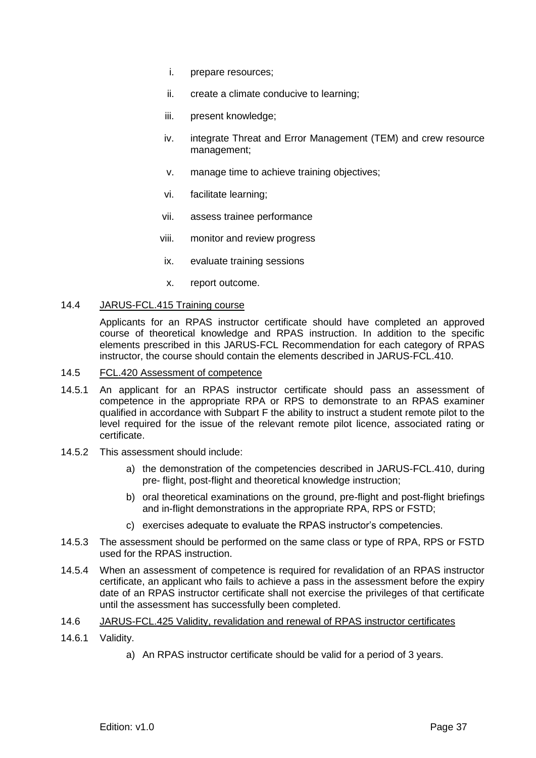- i. prepare resources;
- ii. create a climate conducive to learning;
- iii. present knowledge;
- iv. integrate Threat and Error Management (TEM) and crew resource management;
- v. manage time to achieve training objectives;
- vi. facilitate learning;
- vii. assess trainee performance
- viii. monitor and review progress
- ix. evaluate training sessions
- x. report outcome.

#### <span id="page-36-0"></span>14.4 JARUS-FCL.415 Training course

Applicants for an RPAS instructor certificate should have completed an approved course of theoretical knowledge and RPAS instruction. In addition to the specific elements prescribed in this JARUS-FCL Recommendation for each category of RPAS instructor, the course should contain the elements described in JARUS-FCL.410.

- <span id="page-36-1"></span>14.5 FCL.420 Assessment of competence
- 14.5.1 An applicant for an RPAS instructor certificate should pass an assessment of competence in the appropriate RPA or RPS to demonstrate to an RPAS examiner qualified in accordance with Subpart F the ability to instruct a student remote pilot to the level required for the issue of the relevant remote pilot licence, associated rating or certificate.
- 14.5.2 This assessment should include:
	- a) the demonstration of the competencies described in JARUS-FCL.410, during pre- flight, post-flight and theoretical knowledge instruction;
	- b) oral theoretical examinations on the ground, pre-flight and post-flight briefings and in-flight demonstrations in the appropriate RPA, RPS or FSTD;
	- c) exercises adequate to evaluate the RPAS instructor's competencies.
- 14.5.3 The assessment should be performed on the same class or type of RPA, RPS or FSTD used for the RPAS instruction.
- 14.5.4 When an assessment of competence is required for revalidation of an RPAS instructor certificate, an applicant who fails to achieve a pass in the assessment before the expiry date of an RPAS instructor certificate shall not exercise the privileges of that certificate until the assessment has successfully been completed.
- <span id="page-36-2"></span>14.6 JARUS-FCL.425 Validity, revalidation and renewal of RPAS instructor certificates
- 14.6.1 Validity.
	- a) An RPAS instructor certificate should be valid for a period of 3 years.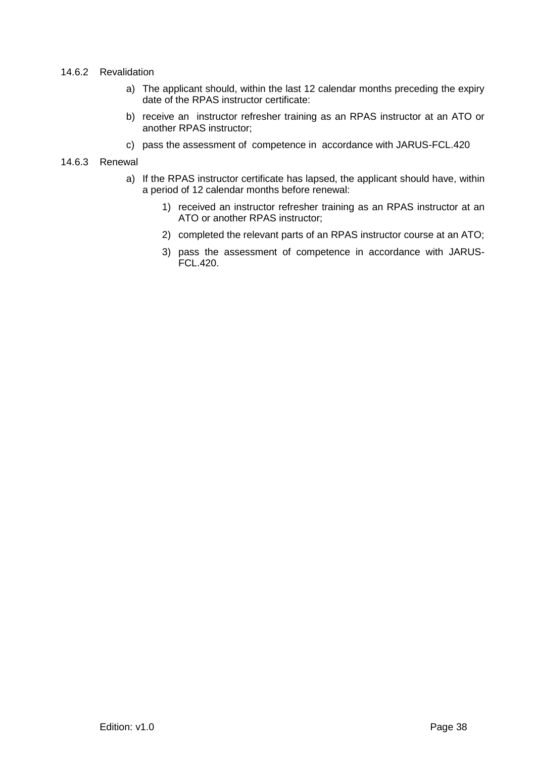#### 14.6.2 Revalidation

- a) The applicant should, within the last 12 calendar months preceding the expiry date of the RPAS instructor certificate:
- b) receive an instructor refresher training as an RPAS instructor at an ATO or another RPAS instructor;
- c) pass the assessment of competence in accordance with JARUS-FCL.420

#### 14.6.3 Renewal

- a) If the RPAS instructor certificate has lapsed, the applicant should have, within a period of 12 calendar months before renewal:
	- 1) received an instructor refresher training as an RPAS instructor at an ATO or another RPAS instructor;
	- 2) completed the relevant parts of an RPAS instructor course at an ATO;
	- 3) pass the assessment of competence in accordance with JARUS-FCL.420.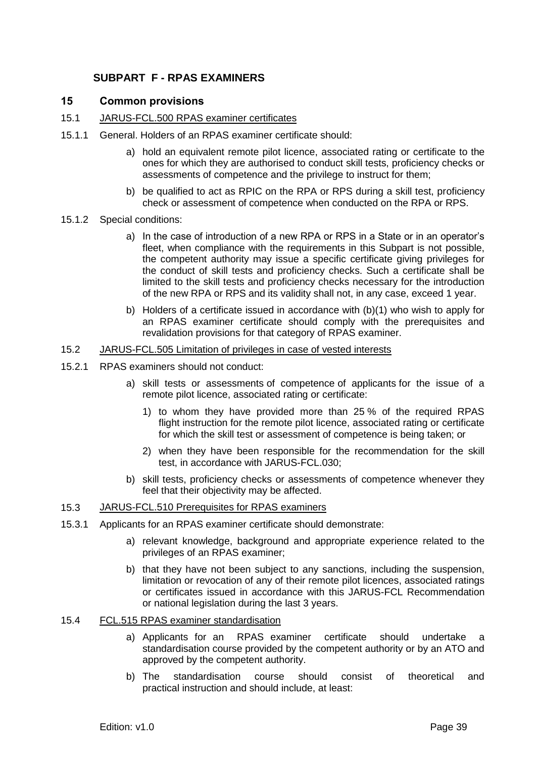#### **SUBPART F - RPAS EXAMINERS**

#### <span id="page-38-1"></span><span id="page-38-0"></span>**15 Common provisions**

#### <span id="page-38-2"></span>15.1 JARUS-FCL.500 RPAS examiner certificates

- 15.1.1 General. Holders of an RPAS examiner certificate should:
	- a) hold an equivalent remote pilot licence, associated rating or certificate to the ones for which they are authorised to conduct skill tests, proficiency checks or assessments of competence and the privilege to instruct for them;
	- b) be qualified to act as RPIC on the RPA or RPS during a skill test, proficiency check or assessment of competence when conducted on the RPA or RPS.
- 15.1.2 Special conditions:
	- a) In the case of introduction of a new RPA or RPS in a State or in an operator's fleet, when compliance with the requirements in this Subpart is not possible, the competent authority may issue a specific certificate giving privileges for the conduct of skill tests and proficiency checks. Such a certificate shall be limited to the skill tests and proficiency checks necessary for the introduction of the new RPA or RPS and its validity shall not, in any case, exceed 1 year.
	- b) Holders of a certificate issued in accordance with (b)(1) who wish to apply for an RPAS examiner certificate should comply with the prerequisites and revalidation provisions for that category of RPAS examiner.

#### <span id="page-38-3"></span>15.2 JARUS-FCL.505 Limitation of privileges in case of vested interests

- 15.2.1 RPAS examiners should not conduct:
	- a) skill tests or assessments of competence of applicants for the issue of a remote pilot licence, associated rating or certificate:
		- 1) to whom they have provided more than 25 % of the required RPAS flight instruction for the remote pilot licence, associated rating or certificate for which the skill test or assessment of competence is being taken; or
		- 2) when they have been responsible for the recommendation for the skill test, in accordance with JARUS-FCL.030;
	- b) skill tests, proficiency checks or assessments of competence whenever they feel that their objectivity may be affected.

#### <span id="page-38-4"></span>15.3 JARUS-FCL.510 Prerequisites for RPAS examiners

- 15.3.1 Applicants for an RPAS examiner certificate should demonstrate:
	- a) relevant knowledge, background and appropriate experience related to the privileges of an RPAS examiner;
	- b) that they have not been subject to any sanctions, including the suspension, limitation or revocation of any of their remote pilot licences, associated ratings or certificates issued in accordance with this JARUS-FCL Recommendation or national legislation during the last 3 years.
- <span id="page-38-5"></span>15.4 FCL.515 RPAS examiner standardisation
	- a) Applicants for an RPAS examiner certificate should undertake a standardisation course provided by the competent authority or by an ATO and approved by the competent authority.
	- b) The standardisation course should consist of theoretical and practical instruction and should include, at least: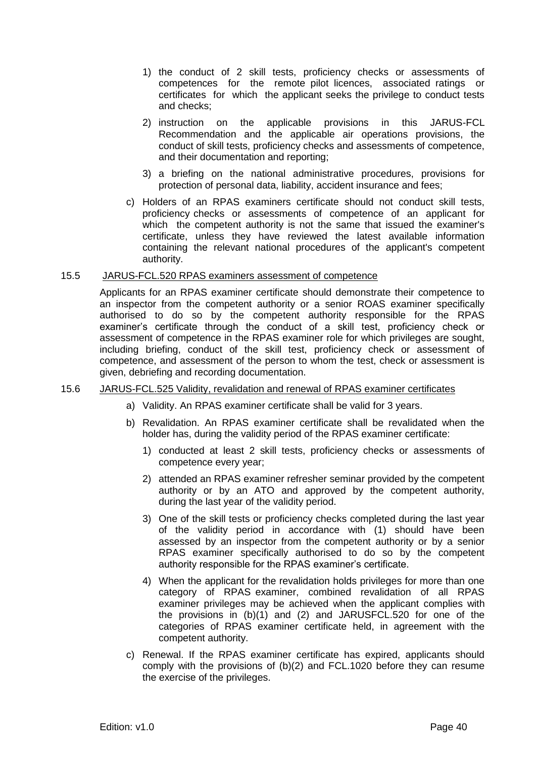- 1) the conduct of 2 skill tests, proficiency checks or assessments of competences for the remote pilot licences, associated ratings or certificates for which the applicant seeks the privilege to conduct tests and checks;
- 2) instruction on the applicable provisions in this JARUS-FCL Recommendation and the applicable air operations provisions, the conduct of skill tests, proficiency checks and assessments of competence, and their documentation and reporting;
- 3) a briefing on the national administrative procedures, provisions for protection of personal data, liability, accident insurance and fees;
- c) Holders of an RPAS examiners certificate should not conduct skill tests, proficiency checks or assessments of competence of an applicant for which the competent authority is not the same that issued the examiner's certificate, unless they have reviewed the latest available information containing the relevant national procedures of the applicant's competent authority.

#### 15.5 JARUS-FCL.520 RPAS examiners assessment of competence

<span id="page-39-0"></span>Applicants for an RPAS examiner certificate should demonstrate their competence to an inspector from the competent authority or a senior ROAS examiner specifically authorised to do so by the competent authority responsible for the RPAS examiner's certificate through the conduct of a skill test, proficiency check or assessment of competence in the RPAS examiner role for which privileges are sought, including briefing, conduct of the skill test, proficiency check or assessment of competence, and assessment of the person to whom the test, check or assessment is given, debriefing and recording documentation.

#### <span id="page-39-1"></span>15.6 JARUS-FCL.525 Validity, revalidation and renewal of RPAS examiner certificates

- a) Validity. An RPAS examiner certificate shall be valid for 3 years.
- b) Revalidation. An RPAS examiner certificate shall be revalidated when the holder has, during the validity period of the RPAS examiner certificate:
	- 1) conducted at least 2 skill tests, proficiency checks or assessments of competence every year;
	- 2) attended an RPAS examiner refresher seminar provided by the competent authority or by an ATO and approved by the competent authority, during the last year of the validity period.
	- 3) One of the skill tests or proficiency checks completed during the last year of the validity period in accordance with (1) should have been assessed by an inspector from the competent authority or by a senior RPAS examiner specifically authorised to do so by the competent authority responsible for the RPAS examiner's certificate.
	- 4) When the applicant for the revalidation holds privileges for more than one category of RPAS examiner, combined revalidation of all RPAS examiner privileges may be achieved when the applicant complies with the provisions in (b)(1) and (2) and JARUSFCL.520 for one of the categories of RPAS examiner certificate held, in agreement with the competent authority.
- c) Renewal. If the RPAS examiner certificate has expired, applicants should comply with the provisions of (b)(2) and FCL.1020 before they can resume the exercise of the privileges.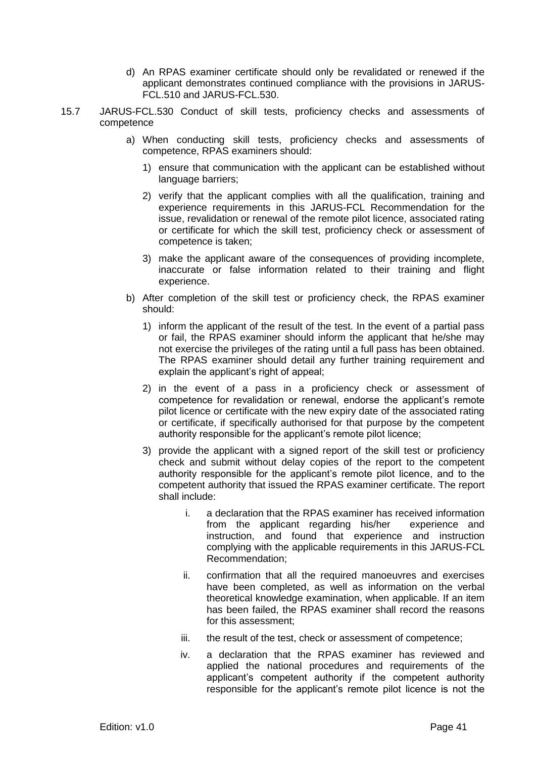- d) An RPAS examiner certificate should only be revalidated or renewed if the applicant demonstrates continued compliance with the provisions in JARUS-FCL.510 and JARUS-FCL.530.
- <span id="page-40-0"></span>15.7 JARUS-FCL.530 Conduct of skill tests, proficiency checks and assessments of competence
	- a) When conducting skill tests, proficiency checks and assessments of competence, RPAS examiners should:
		- 1) ensure that communication with the applicant can be established without language barriers;
		- 2) verify that the applicant complies with all the qualification, training and experience requirements in this JARUS-FCL Recommendation for the issue, revalidation or renewal of the remote pilot licence, associated rating or certificate for which the skill test, proficiency check or assessment of competence is taken;
		- 3) make the applicant aware of the consequences of providing incomplete, inaccurate or false information related to their training and flight experience.
	- b) After completion of the skill test or proficiency check, the RPAS examiner should:
		- 1) inform the applicant of the result of the test. In the event of a partial pass or fail, the RPAS examiner should inform the applicant that he/she may not exercise the privileges of the rating until a full pass has been obtained. The RPAS examiner should detail any further training requirement and explain the applicant's right of appeal;
		- 2) in the event of a pass in a proficiency check or assessment of competence for revalidation or renewal, endorse the applicant's remote pilot licence or certificate with the new expiry date of the associated rating or certificate, if specifically authorised for that purpose by the competent authority responsible for the applicant's remote pilot licence;
		- 3) provide the applicant with a signed report of the skill test or proficiency check and submit without delay copies of the report to the competent authority responsible for the applicant's remote pilot licence, and to the competent authority that issued the RPAS examiner certificate. The report shall include:
			- i. a declaration that the RPAS examiner has received information from the applicant regarding his/her experience and instruction, and found that experience and instruction complying with the applicable requirements in this JARUS-FCL Recommendation;
			- ii. confirmation that all the required manoeuvres and exercises have been completed, as well as information on the verbal theoretical knowledge examination, when applicable. If an item has been failed, the RPAS examiner shall record the reasons for this assessment;
			- iii. the result of the test, check or assessment of competence;
			- iv. a declaration that the RPAS examiner has reviewed and applied the national procedures and requirements of the applicant's competent authority if the competent authority responsible for the applicant's remote pilot licence is not the